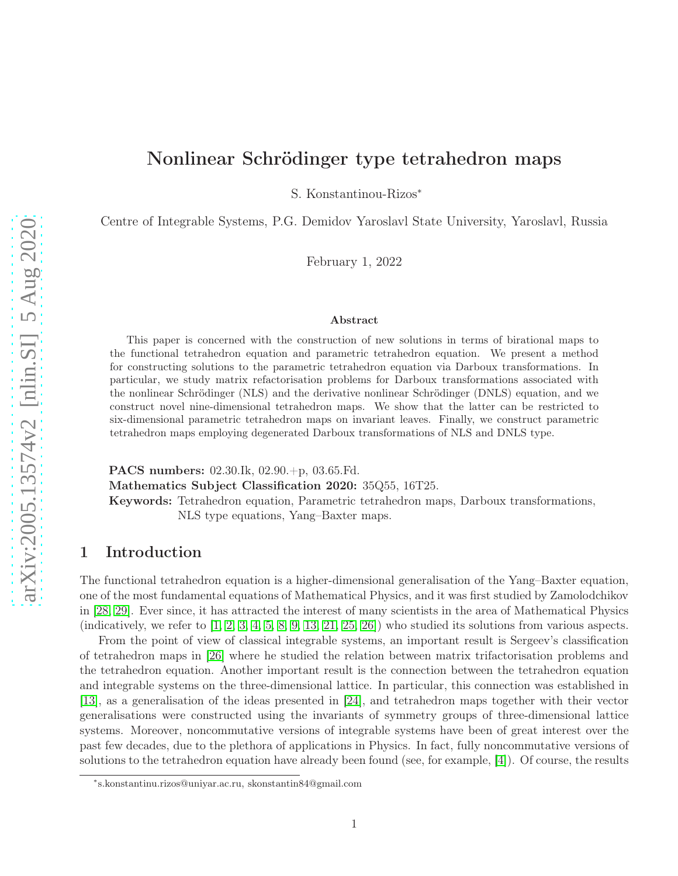# Nonlinear Schrödinger type tetrahedron maps

S. Konstantinou-Rizos<sup>∗</sup>

Centre of Integrable Systems, P.G. Demidov Yaroslavl State University, Yaroslavl, Russia

February 1, 2022

#### Abstract

This paper is concerned with the construction of new solutions in terms of birational maps to the functional tetrahedron equation and parametric tetrahedron equation. We present a method for constructing solutions to the parametric tetrahedron equation via Darboux transformations. In particular, we study matrix refactorisation problems for Darboux transformations associated with the nonlinear Schrödinger (NLS) and the derivative nonlinear Schrödinger (DNLS) equation, and we construct novel nine-dimensional tetrahedron maps. We show that the latter can be restricted to six-dimensional parametric tetrahedron maps on invariant leaves. Finally, we construct parametric tetrahedron maps employing degenerated Darboux transformations of NLS and DNLS type.

PACS numbers: 02.30.Ik, 02.90.+p, 03.65.Fd. Mathematics Subject Classification 2020: 35Q55, 16T25. Keywords: Tetrahedron equation, Parametric tetrahedron maps, Darboux transformations, NLS type equations, Yang–Baxter maps.

### 1 Introduction

The functional tetrahedron equation is a higher-dimensional generalisation of the Yang–Baxter equation, one of the most fundamental equations of Mathematical Physics, and it was first studied by Zamolodchikov in [\[28,](#page-18-0) [29\]](#page-18-1). Ever since, it has attracted the interest of many scientists in the area of Mathematical Physics (indicatively, we refer to  $\left[1, 2, 3, 4, 5, 8, 9, 13, 21, 25, 26\right]$  $\left[1, 2, 3, 4, 5, 8, 9, 13, 21, 25, 26\right]$  $\left[1, 2, 3, 4, 5, 8, 9, 13, 21, 25, 26\right]$  $\left[1, 2, 3, 4, 5, 8, 9, 13, 21, 25, 26\right]$  $\left[1, 2, 3, 4, 5, 8, 9, 13, 21, 25, 26\right]$  $\left[1, 2, 3, 4, 5, 8, 9, 13, 21, 25, 26\right]$  $\left[1, 2, 3, 4, 5, 8, 9, 13, 21, 25, 26\right]$  $\left[1, 2, 3, 4, 5, 8, 9, 13, 21, 25, 26\right]$  $\left[1, 2, 3, 4, 5, 8, 9, 13, 21, 25, 26\right]$  $\left[1, 2, 3, 4, 5, 8, 9, 13, 21, 25, 26\right]$  $\left[1, 2, 3, 4, 5, 8, 9, 13, 21, 25, 26\right]$ ) who studied its solutions from various aspects.

From the point of view of classical integrable systems, an important result is Sergeev's classification of tetrahedron maps in [\[26\]](#page-18-3) where he studied the relation between matrix trifactorisation problems and the tetrahedron equation. Another important result is the connection between the tetrahedron equation and integrable systems on the three-dimensional lattice. In particular, this connection was established in [\[13\]](#page-17-2), as a generalisation of the ideas presented in [\[24\]](#page-18-4), and tetrahedron maps together with their vector generalisations were constructed using the invariants of symmetry groups of three-dimensional lattice systems. Moreover, noncommutative versions of integrable systems have been of great interest over the past few decades, due to the plethora of applications in Physics. In fact, fully noncommutative versions of solutions to the tetrahedron equation have already been found (see, for example, [\[4\]](#page-16-3)). Of course, the results

<sup>∗</sup> s.konstantinu.rizos@uniyar.ac.ru, skonstantin84@gmail.com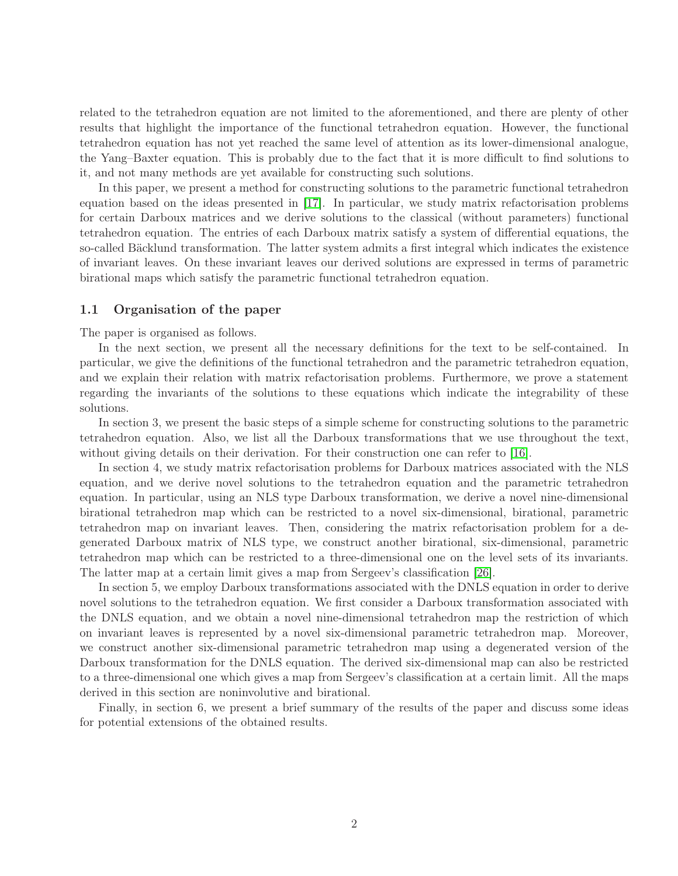related to the tetrahedron equation are not limited to the aforementioned, and there are plenty of other results that highlight the importance of the functional tetrahedron equation. However, the functional tetrahedron equation has not yet reached the same level of attention as its lower-dimensional analogue, the Yang–Baxter equation. This is probably due to the fact that it is more difficult to find solutions to it, and not many methods are yet available for constructing such solutions.

In this paper, we present a method for constructing solutions to the parametric functional tetrahedron equation based on the ideas presented in [\[17\]](#page-17-4). In particular, we study matrix refactorisation problems for certain Darboux matrices and we derive solutions to the classical (without parameters) functional tetrahedron equation. The entries of each Darboux matrix satisfy a system of differential equations, the so-called Bäcklund transformation. The latter system admits a first integral which indicates the existence of invariant leaves. On these invariant leaves our derived solutions are expressed in terms of parametric birational maps which satisfy the parametric functional tetrahedron equation.

#### 1.1 Organisation of the paper

The paper is organised as follows.

In the next section, we present all the necessary definitions for the text to be self-contained. In particular, we give the definitions of the functional tetrahedron and the parametric tetrahedron equation, and we explain their relation with matrix refactorisation problems. Furthermore, we prove a statement regarding the invariants of the solutions to these equations which indicate the integrability of these solutions.

In section 3, we present the basic steps of a simple scheme for constructing solutions to the parametric tetrahedron equation. Also, we list all the Darboux transformations that we use throughout the text, without giving details on their derivation. For their construction one can refer to [\[16\]](#page-17-5).

In section 4, we study matrix refactorisation problems for Darboux matrices associated with the NLS equation, and we derive novel solutions to the tetrahedron equation and the parametric tetrahedron equation. In particular, using an NLS type Darboux transformation, we derive a novel nine-dimensional birational tetrahedron map which can be restricted to a novel six-dimensional, birational, parametric tetrahedron map on invariant leaves. Then, considering the matrix refactorisation problem for a degenerated Darboux matrix of NLS type, we construct another birational, six-dimensional, parametric tetrahedron map which can be restricted to a three-dimensional one on the level sets of its invariants. The latter map at a certain limit gives a map from Sergeev's classification [\[26\]](#page-18-3).

In section 5, we employ Darboux transformations associated with the DNLS equation in order to derive novel solutions to the tetrahedron equation. We first consider a Darboux transformation associated with the DNLS equation, and we obtain a novel nine-dimensional tetrahedron map the restriction of which on invariant leaves is represented by a novel six-dimensional parametric tetrahedron map. Moreover, we construct another six-dimensional parametric tetrahedron map using a degenerated version of the Darboux transformation for the DNLS equation. The derived six-dimensional map can also be restricted to a three-dimensional one which gives a map from Sergeev's classification at a certain limit. All the maps derived in this section are noninvolutive and birational.

Finally, in section 6, we present a brief summary of the results of the paper and discuss some ideas for potential extensions of the obtained results.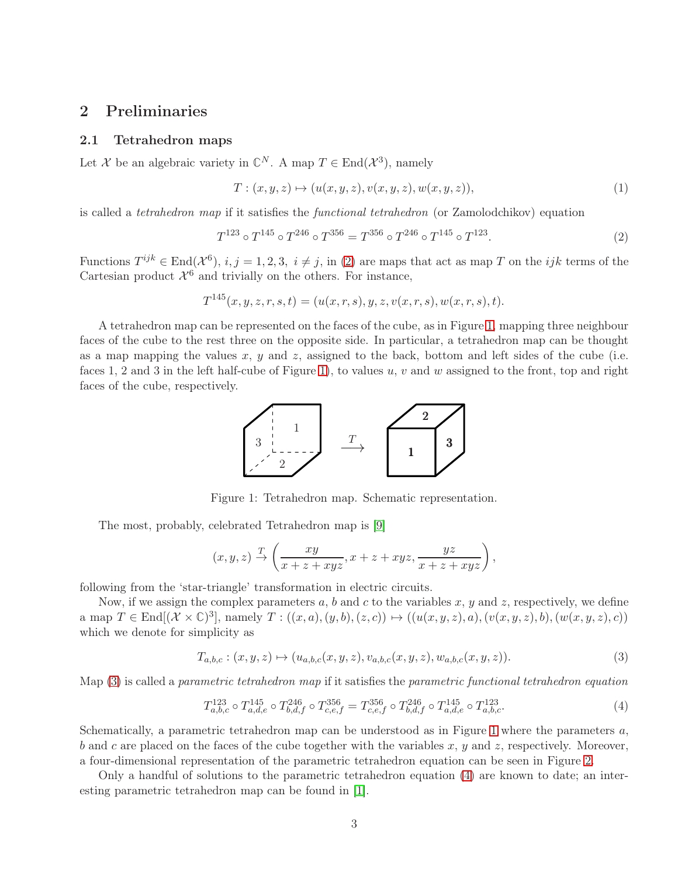### <span id="page-2-4"></span>2 Preliminaries

### 2.1 Tetrahedron maps

Let X be an algebraic variety in  $\mathbb{C}^N$ . A map  $T \in \text{End}(\mathcal{X}^3)$ , namely

$$
T: (x, y, z) \mapsto (u(x, y, z), v(x, y, z), w(x, y, z)),
$$
\n
$$
(1)
$$

is called a *tetrahedron map* if it satisfies the *functional tetrahedron* (or Zamolodchikov) equation

<span id="page-2-0"></span>
$$
T^{123} \circ T^{145} \circ T^{246} \circ T^{356} = T^{356} \circ T^{246} \circ T^{145} \circ T^{123}.
$$
 (2)

Functions  $T^{ijk} \in \text{End}(\mathcal{X}^6), i, j = 1, 2, 3, i \neq j$ , in [\(2\)](#page-2-0) are maps that act as map T on the ijk terms of the Cartesian product  $\mathcal{X}^6$  and trivially on the others. For instance,

$$
T^{145}(x, y, z, r, s, t) = (u(x, r, s), y, z, v(x, r, s), w(x, r, s), t).
$$

A tetrahedron map can be represented on the faces of the cube, as in Figure [1,](#page-2-1) mapping three neighbour faces of the cube to the rest three on the opposite side. In particular, a tetrahedron map can be thought as a map mapping the values  $x, y$  and  $z$ , assigned to the back, bottom and left sides of the cube (i.e. faces 1, 2 and 3 in the left half-cube of Figure [1\)](#page-2-1), to values u, v and w assigned to the front, top and right faces of the cube, respectively.



<span id="page-2-1"></span>Figure 1: Tetrahedron map. Schematic representation.

The most, probably, celebrated Tetrahedron map is [\[9\]](#page-17-1)

$$
(x,y,z) \xrightarrow{T} \left( \frac{xy}{x+z+xyz}, x+z+xyz, \frac{yz}{x+z+xyz} \right),
$$

following from the 'star-triangle' transformation in electric circuits.

Now, if we assign the complex parameters  $a, b$  and c to the variables x, y and z, respectively, we define a map  $T \in \text{End}[(\mathcal{X} \times \mathbb{C})^3]$ , namely  $T : ((x, a), (y, b), (z, c)) \mapsto ((u(x, y, z), a), (v(x, y, z), b), (w(x, y, z), c))$ which we denote for simplicity as

<span id="page-2-2"></span>
$$
T_{a,b,c}: (x,y,z) \mapsto (u_{a,b,c}(x,y,z), v_{a,b,c}(x,y,z), w_{a,b,c}(x,y,z)).
$$
\n(3)

Map [\(3\)](#page-2-2) is called a *parametric tetrahedron map* if it satisfies the *parametric functional tetrahedron equation*

<span id="page-2-3"></span>
$$
T_{a,b,c}^{123} \circ T_{a,d,e}^{145} \circ T_{b,d,f}^{246} \circ T_{c,e,f}^{356} = T_{c,e,f}^{356} \circ T_{b,d,f}^{246} \circ T_{a,d,e}^{145} \circ T_{a,b,c}^{123}.
$$
 (4)

Schematically, a parametric tetrahedron map can be understood as in Figure [1](#page-2-1) where the parameters  $a$ , b and c are placed on the faces of the cube together with the variables x, y and z, respectively. Moreover, a four-dimensional representation of the parametric tetrahedron equation can be seen in Figure [2.](#page-3-0)

Only a handful of solutions to the parametric tetrahedron equation [\(4\)](#page-2-3) are known to date; an interesting parametric tetrahedron map can be found in [\[1\]](#page-16-0).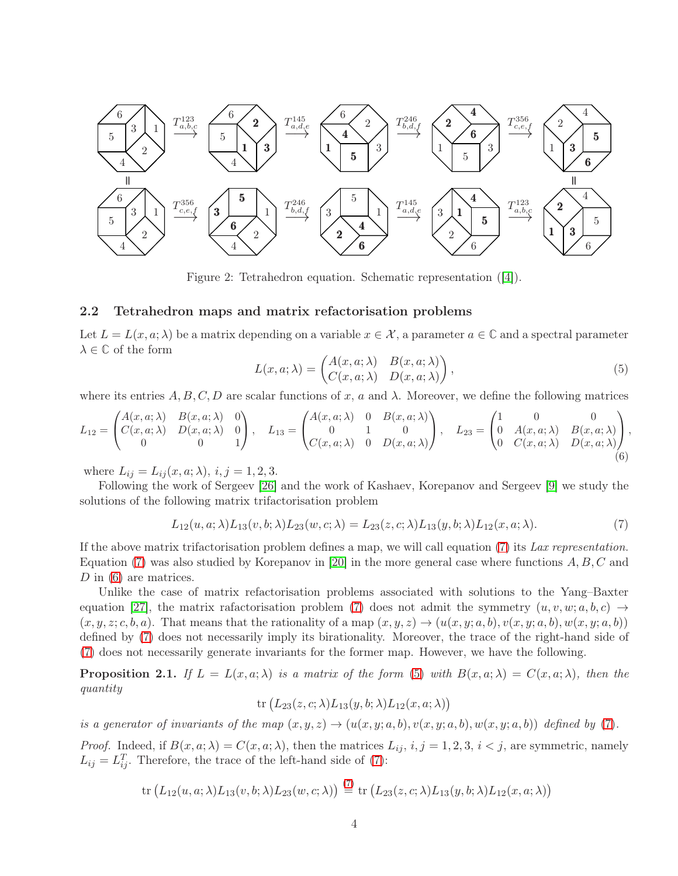

<span id="page-3-0"></span>Figure 2: Tetrahedron equation. Schematic representation ([\[4\]](#page-16-3)).

#### 2.2 Tetrahedron maps and matrix refactorisation problems

Let  $L = L(x, a; \lambda)$  be a matrix depending on a variable  $x \in \mathcal{X}$ , a parameter  $a \in \mathbb{C}$  and a spectral parameter  $\lambda \in \mathbb{C}$  of the form

<span id="page-3-3"></span>
$$
L(x, a; \lambda) = \begin{pmatrix} A(x, a; \lambda) & B(x, a; \lambda) \\ C(x, a; \lambda) & D(x, a; \lambda) \end{pmatrix},
$$
\n(5)

where its entries  $A, B, C, D$  are scalar functions of x, a and  $\lambda$ . Moreover, we define the following matrices

<span id="page-3-2"></span>
$$
L_{12} = \begin{pmatrix} A(x, a; \lambda) & B(x, a; \lambda) & 0 \\ C(x, a; \lambda) & D(x, a; \lambda) & 0 \\ 0 & 0 & 1 \end{pmatrix}, \quad L_{13} = \begin{pmatrix} A(x, a; \lambda) & 0 & B(x, a; \lambda) \\ 0 & 1 & 0 \\ C(x, a; \lambda) & 0 & D(x, a; \lambda) \end{pmatrix}, \quad L_{23} = \begin{pmatrix} 1 & 0 & 0 \\ 0 & A(x, a; \lambda) & B(x, a; \lambda) \\ 0 & C(x, a; \lambda) & D(x, a; \lambda) \end{pmatrix},
$$
(6)

where  $L_{ij} = L_{ij}(x, a; \lambda), i, j = 1, 2, 3.$ 

Following the work of Sergeev [\[26\]](#page-18-3) and the work of Kashaev, Korepanov and Sergeev [\[9\]](#page-17-1) we study the solutions of the following matrix trifactorisation problem

<span id="page-3-1"></span>
$$
L_{12}(u,a;\lambda)L_{13}(v,b;\lambda)L_{23}(w,c;\lambda) = L_{23}(z,c;\lambda)L_{13}(y,b;\lambda)L_{12}(x,a;\lambda). \tag{7}
$$

If the above matrix trifactorisation problem defines a map, we will call equation [\(7\)](#page-3-1) its *Lax representation*. Equation [\(7\)](#page-3-1) was also studied by Korepanov in [\[20\]](#page-17-6) in the more general case where functions  $A, B, C$  and D in [\(6\)](#page-3-2) are matrices.

Unlike the case of matrix refactorisation problems associated with solutions to the Yang–Baxter equation [\[27\]](#page-18-5), the matrix rafactorisation problem [\(7\)](#page-3-1) does not admit the symmetry  $(u, v, w; a, b, c) \rightarrow$  $(x, y, z; c, b, a)$ . That means that the rationality of a map  $(x, y, z) \rightarrow (u(x, y; a, b), v(x, y; a, b), w(x, y; a, b))$ defined by [\(7\)](#page-3-1) does not necessarily imply its birationality. Moreover, the trace of the right-hand side of [\(7\)](#page-3-1) does not necessarily generate invariants for the former map. However, we have the following.

<span id="page-3-4"></span>**Proposition 2.1.** *If*  $L = L(x, a; \lambda)$  *is a matrix of the form* [\(5\)](#page-3-3) *with*  $B(x, a; \lambda) = C(x, a; \lambda)$ *, then the quantity*

$$
\mathrm{tr}\left(L_{23}(z,c;\lambda)L_{13}(y,b;\lambda)L_{12}(x,a;\lambda)\right)
$$

*is a generator of invariants of the map*  $(x, y, z) \rightarrow (u(x, y; a, b), v(x, y; a, b), w(x, y; a, b))$  *defined by* [\(7\)](#page-3-1).

*Proof.* Indeed, if  $B(x, a; \lambda) = C(x, a; \lambda)$ , then the matrices  $L_{ij}$ ,  $i, j = 1, 2, 3, i < j$ , are symmetric, namely  $L_{ij} = L_{ij}^T$ . Therefore, the trace of the left-hand side of [\(7\)](#page-3-1):

$$
\operatorname{tr}\left(L_{12}(u,a;\lambda)L_{13}(v,b;\lambda)L_{23}(w,c;\lambda)\right) \stackrel{(7)}{=} \operatorname{tr}\left(L_{23}(z,c;\lambda)L_{13}(y,b;\lambda)L_{12}(x,a;\lambda)\right)
$$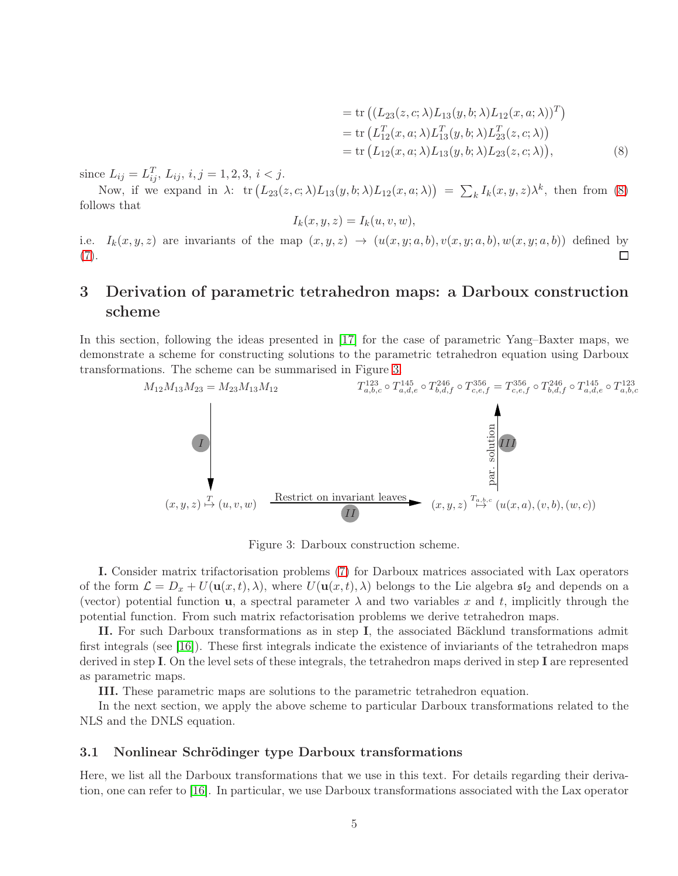<span id="page-4-0"></span>
$$
= tr ((L_{23}(z, c; \lambda)L_{13}(y, b; \lambda)L_{12}(x, a; \lambda))^{T})
$$
  
\n
$$
= tr (L_{12}^{T}(x, a; \lambda)L_{13}^{T}(y, b; \lambda)L_{23}^{T}(z, c; \lambda))
$$
  
\n
$$
= tr (L_{12}(x, a; \lambda)L_{13}(y, b; \lambda)L_{23}(z, c; \lambda)),
$$
\n(8)

since  $L_{ij} = L_{ij}^T$ ,  $L_{ij}$ ,  $i, j = 1, 2, 3, i < j$ .

Now, if we expand in  $\lambda$ :  $\text{tr}\left(L_{23}(z, c; \lambda)L_{13}(y, b; \lambda)L_{12}(x, a; \lambda)\right) = \sum_{k} I_k(x, y, z)\lambda^k$ , then from [\(8\)](#page-4-0) follows that

$$
I_k(x, y, z) = I_k(u, v, w),
$$

i.e.  $I_k(x, y, z)$  are invariants of the map  $(x, y, z) \rightarrow (u(x, y; a, b), v(x, y; a, b), w(x, y; a, b))$  defined by  $\Box$ [\(7\)](#page-3-1).

# 3 Derivation of parametric tetrahedron maps: a Darboux construction scheme

In this section, following the ideas presented in [\[17\]](#page-17-4) for the case of parametric Yang–Baxter maps, we demonstrate a scheme for constructing solutions to the parametric tetrahedron equation using Darboux transformations. The scheme can be summarised in Figure [3.](#page-4-1)



<span id="page-4-1"></span>Figure 3: Darboux construction scheme.

I. Consider matrix trifactorisation problems [\(7\)](#page-3-1) for Darboux matrices associated with Lax operators of the form  $\mathcal{L} = D_x + U(\mathbf{u}(x,t),\lambda)$ , where  $U(\mathbf{u}(x,t),\lambda)$  belongs to the Lie algebra  $\mathfrak{sl}_2$  and depends on a (vector) potential function **u**, a spectral parameter  $\lambda$  and two variables x and t, implicitly through the potential function. From such matrix refactorisation problems we derive tetrahedron maps.

II. For such Darboux transformations as in step I, the associated Bäcklund transformations admit first integrals (see [\[16\]](#page-17-5)). These first integrals indicate the existence of inviariants of the tetrahedron maps derived in step I. On the level sets of these integrals, the tetrahedron maps derived in step I are represented as parametric maps.

III. These parametric maps are solutions to the parametric tetrahedron equation.

In the next section, we apply the above scheme to particular Darboux transformations related to the NLS and the DNLS equation.

#### 3.1 Nonlinear Schrödinger type Darboux transformations

Here, we list all the Darboux transformations that we use in this text. For details regarding their derivation, one can refer to [\[16\]](#page-17-5). In particular, we use Darboux transformations associated with the Lax operator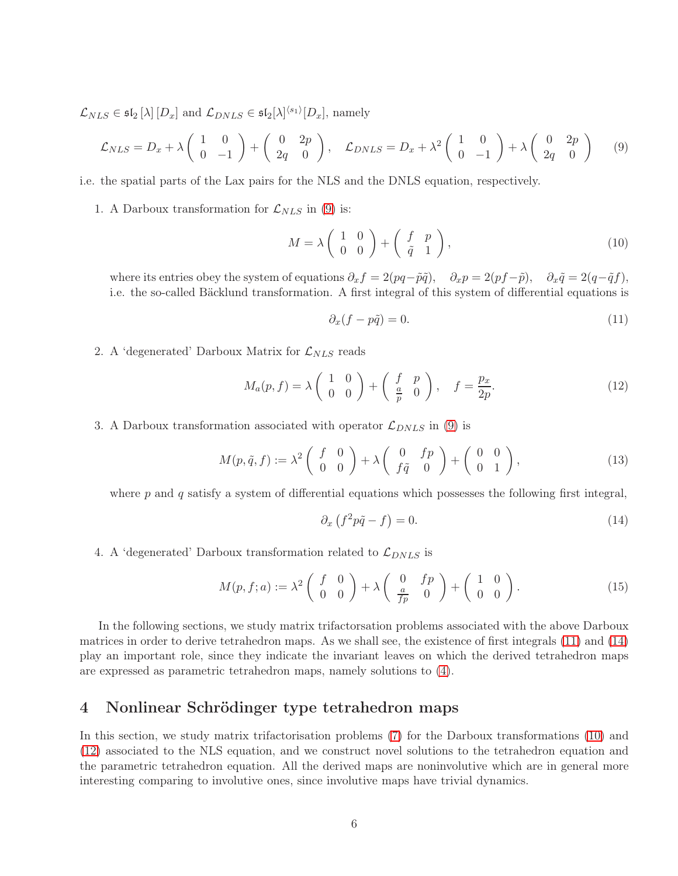$\mathcal{L}_{NLS} \in \mathfrak{sl}_2\left[\lambda\right]\left[D_x\right]$  and  $\mathcal{L}_{DNLS} \in \mathfrak{sl}_2[\lambda]^{\langle s_1\rangle}[D_x]$ , namely

<span id="page-5-0"></span>
$$
\mathcal{L}_{NLS} = D_x + \lambda \begin{pmatrix} 1 & 0 \\ 0 & -1 \end{pmatrix} + \begin{pmatrix} 0 & 2p \\ 2q & 0 \end{pmatrix}, \quad \mathcal{L}_{DNLS} = D_x + \lambda^2 \begin{pmatrix} 1 & 0 \\ 0 & -1 \end{pmatrix} + \lambda \begin{pmatrix} 0 & 2p \\ 2q & 0 \end{pmatrix}
$$
 (9)

i.e. the spatial parts of the Lax pairs for the NLS and the DNLS equation, respectively.

1. A Darboux transformation for  $\mathcal{L}_{NLS}$  in [\(9\)](#page-5-0) is:

<span id="page-5-3"></span>
$$
M = \lambda \begin{pmatrix} 1 & 0 \\ 0 & 0 \end{pmatrix} + \begin{pmatrix} f & p \\ \tilde{q} & 1 \end{pmatrix}, \tag{10}
$$

where its entries obey the system of equations  $\partial_x f = 2(pq-\tilde{p}\tilde{q}), \quad \partial_x p = 2(pf-\tilde{p}), \quad \partial_x \tilde{q} = 2(q-\tilde{q}f),$ i.e. the so-called Bäcklund transformation. A first integral of this system of differential equations is

<span id="page-5-1"></span>
$$
\partial_x(f - p\tilde{q}) = 0. \tag{11}
$$

2. A 'degenerated' Darboux Matrix for  $\mathcal{L}_{NLS}$  reads

<span id="page-5-4"></span>
$$
M_a(p,f) = \lambda \begin{pmatrix} 1 & 0 \\ 0 & 0 \end{pmatrix} + \begin{pmatrix} f & p \\ \frac{a}{p} & 0 \end{pmatrix}, \quad f = \frac{p_x}{2p}.
$$
 (12)

3. A Darboux transformation associated with operator  $\mathcal{L}_{DNLS}$  in [\(9\)](#page-5-0) is

<span id="page-5-5"></span>
$$
M(p,\tilde{q},f) := \lambda^2 \begin{pmatrix} f & 0 \\ 0 & 0 \end{pmatrix} + \lambda \begin{pmatrix} 0 & fp \\ f\tilde{q} & 0 \end{pmatrix} + \begin{pmatrix} 0 & 0 \\ 0 & 1 \end{pmatrix},
$$
(13)

where  $p$  and  $q$  satisfy a system of differential equations which possesses the following first integral,

<span id="page-5-2"></span>
$$
\partial_x \left( f^2 p \tilde{q} - f \right) = 0. \tag{14}
$$

4. A 'degenerated' Darboux transformation related to  $\mathcal{L}_{DNLS}$  is

<span id="page-5-6"></span>
$$
M(p, f; a) := \lambda^2 \begin{pmatrix} f & 0 \\ 0 & 0 \end{pmatrix} + \lambda \begin{pmatrix} 0 & fp \\ \frac{a}{fp} & 0 \end{pmatrix} + \begin{pmatrix} 1 & 0 \\ 0 & 0 \end{pmatrix}.
$$
 (15)

In the following sections, we study matrix trifactorsation problems associated with the above Darboux matrices in order to derive tetrahedron maps. As we shall see, the existence of first integrals [\(11\)](#page-5-1) and [\(14\)](#page-5-2) play an important role, since they indicate the invariant leaves on which the derived tetrahedron maps are expressed as parametric tetrahedron maps, namely solutions to [\(4\)](#page-2-3).

# 4 Nonlinear Schrödinger type tetrahedron maps

In this section, we study matrix trifactorisation problems [\(7\)](#page-3-1) for the Darboux transformations [\(10\)](#page-5-3) and [\(12\)](#page-5-4) associated to the NLS equation, and we construct novel solutions to the tetrahedron equation and the parametric tetrahedron equation. All the derived maps are noninvolutive which are in general more interesting comparing to involutive ones, since involutive maps have trivial dynamics.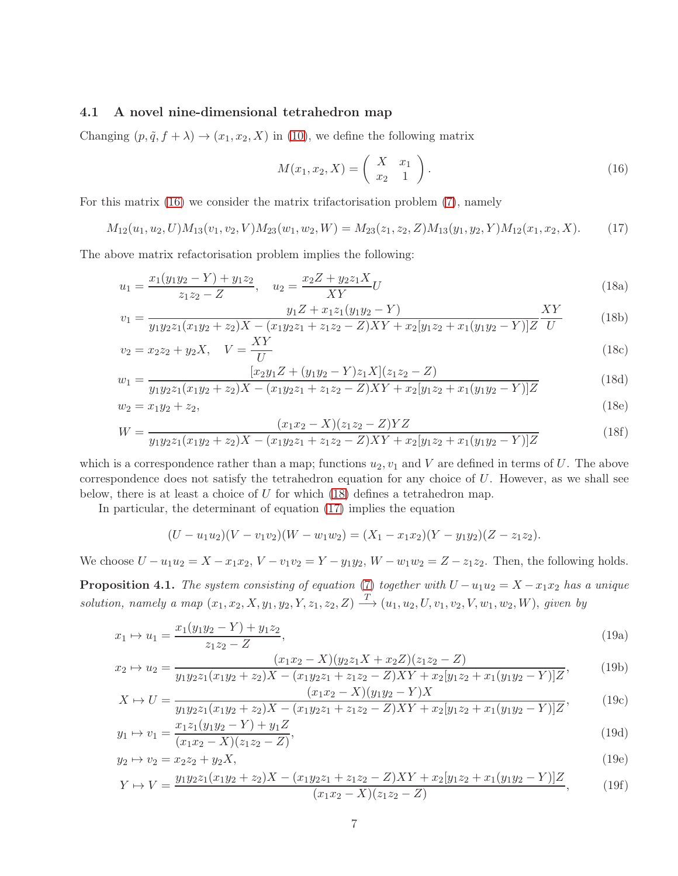#### 4.1 A novel nine-dimensional tetrahedron map

Changing  $(p, \tilde{q}, f + \lambda) \rightarrow (x_1, x_2, X)$  in [\(10\)](#page-5-3), we define the following matrix

<span id="page-6-8"></span><span id="page-6-7"></span><span id="page-6-4"></span><span id="page-6-1"></span><span id="page-6-0"></span>
$$
M(x_1, x_2, X) = \begin{pmatrix} X & x_1 \\ x_2 & 1 \end{pmatrix}.
$$
 (16)

For this matrix [\(16\)](#page-6-0) we consider the matrix trifactorisation problem [\(7\)](#page-3-1), namely

<span id="page-6-2"></span>
$$
M_{12}(u_1, u_2, U)M_{13}(v_1, v_2, V)M_{23}(w_1, w_2, W) = M_{23}(z_1, z_2, Z)M_{13}(y_1, y_2, Y)M_{12}(x_1, x_2, X). \tag{17}
$$

The above matrix refactorisation problem implies the following:

$$
u_1 = \frac{x_1(y_1y_2 - Y) + y_1z_2}{z_1z_2 - Z}, \quad u_2 = \frac{x_2Z + y_2z_1X}{XY}U
$$
\n(18a)

$$
v_1 = \frac{y_1 Z + x_1 z_1 (y_1 y_2 - Y)}{y_1 y_2 z_1 (x_1 y_2 + z_2) X - (x_1 y_2 z_1 + z_1 z_2 - Z) XY + x_2 [y_1 z_2 + x_1 (y_1 y_2 - Y)] Z} \frac{XY}{U}
$$
(18b)

$$
v_2 = x_2 z_2 + y_2 X, \quad V = \frac{XY}{U}
$$
\n(18c)

$$
w_1 = \frac{[x_2y_1Z + (y_1y_2 - Y)z_1X](z_1z_2 - Z)}{y_1y_2z_1(x_1y_2 + z_2)X - (x_1y_2z_1 + z_1z_2 - Z)XY + x_2[y_1z_2 + x_1(y_1y_2 - Y)]Z}
$$
(18d)

$$
w_2 = x_1 y_2 + z_2,\tag{18e}
$$

$$
W = \frac{(x_1x_2 - X)(z_1z_2 - Z)YZ}{y_1y_2z_1(x_1y_2 + z_2)X - (x_1y_2z_1 + z_1z_2 - Z)XY + x_2[y_1z_2 + x_1(y_1y_2 - Y)]Z}
$$
(18f)

which is a correspondence rather than a map; functions  $u_2, v_1$  and V are defined in terms of U. The above correspondence does not satisfy the tetrahedron equation for any choice of  $U$ . However, as we shall see below, there is at least a choice of  $U$  for which  $(18)$  defines a tetrahedron map.

In particular, the determinant of equation [\(17\)](#page-6-2) implies the equation

<span id="page-6-9"></span><span id="page-6-6"></span><span id="page-6-5"></span><span id="page-6-3"></span>
$$
(U - u_1 u_2)(V - v_1 v_2)(W - w_1 w_2) = (X_1 - x_1 x_2)(Y - y_1 y_2)(Z - z_1 z_2).
$$

We choose  $U - u_1u_2 = X - x_1x_2$ ,  $V - v_1v_2 = Y - y_1y_2$ ,  $W - w_1w_2 = Z - z_1z_2$ . Then, the following holds.

**Proposition 4.1.** *The system consisting of equation* [\(7\)](#page-3-1) *together with*  $U - u_1 u_2 = X - x_1 x_2$  *has a unique*  $solution, namely a map (x_1, x_2, X, y_1, y_2, Y, z_1, z_2, Z) \longrightarrow (u_1, u_2, U, v_1, v_2, V, w_1, w_2, W), given by$ 

$$
x_1 \mapsto u_1 = \frac{x_1(y_1y_2 - Y) + y_1z_2}{z_1z_2 - Z},
$$
\n(19a)

$$
x_2 \mapsto u_2 = \frac{(x_1 x_2 - X)(y_2 z_1 X + x_2 Z)(z_1 z_2 - Z)}{y_1 y_2 z_1 (x_1 y_2 + z_2) X - (x_1 y_2 z_1 + z_1 z_2 - Z) XY + x_2 [y_1 z_2 + x_1 (y_1 y_2 - Y)] Z},
$$
(19b)

$$
X \mapsto U = \frac{(x_1x_2 - X)(y_1y_2 - Y)X}{y_1y_2z_1(x_1y_2 + z_2)X - (x_1y_2z_1 + z_1z_2 - Z)XY + x_2[y_1z_2 + x_1(y_1y_2 - Y)]Z},
$$
(19c)

$$
y_1 \mapsto v_1 = \frac{x_1 z_1 (y_1 y_2 - Y) + y_1 Z}{(x_1 x_2 - X)(z_1 z_2 - Z)},
$$
\n(19d)

$$
y_2 \mapsto v_2 = x_2 z_2 + y_2 X,\tag{19e}
$$

<span id="page-6-10"></span>
$$
Y \mapsto V = \frac{y_1 y_2 z_1 (x_1 y_2 + z_2) X - (x_1 y_2 z_1 + z_1 z_2 - Z) XY + x_2 [y_1 z_2 + x_1 (y_1 y_2 - Y)] Z}{(x_1 x_2 - X)(z_1 z_2 - Z)}\tag{19f}
$$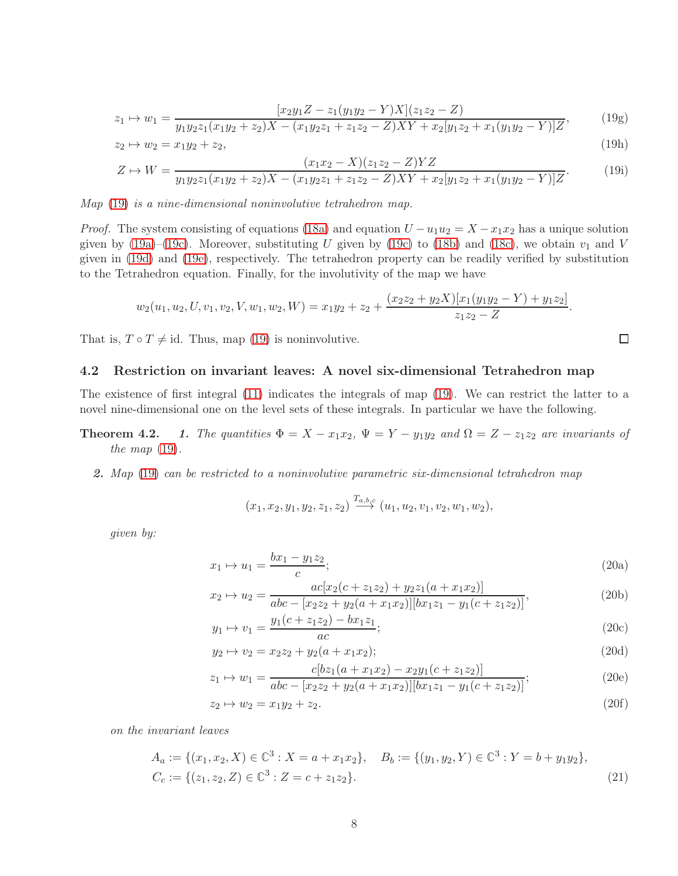$$
\mapsto w_1 = \frac{[x_2y_1Z - z_1(y_1y_2 - Y)X](z_1z_2 - Z)}{y_1y_2z_1(x_1y_2 + z_2)X - (x_1y_2z_1 + z_1z_2 - Z)XY + x_2[y_1z_2 + x_1(y_1y_2 - Y)]Z},\tag{19g}
$$

$$
z_1 \rightarrow z_1
$$
  
\n
$$
y_1 y_2 z_1 (x_1 y_2 + z_2) X - (x_1 y_2 z_1 + z_1 z_2 - Z) XY + x_2 [y_1 z_2 + x_1 (y_1 y_2 - Y)] Z'
$$
  
\n
$$
z_2 \rightarrow w_2 = x_1 y_2 + z_2,
$$
  
\n(19h)

$$
Z \mapsto W = \frac{(x_1x_2 - X)(z_1z_2 - Z)YZ}{y_1y_2z_1(x_1y_2 + z_2)X - (x_1y_2z_1 + z_1z_2 - Z)XY + x_2[y_1z_2 + x_1(y_1y_2 - Y)]Z}.
$$
(19i)

*Map* [\(19\)](#page-6-3) *is a nine-dimensional noninvolutive tetrahedron map.*

*Proof.* The system consisting of equations [\(18a\)](#page-6-4) and equation  $U - u_1 u_2 = X - x_1 x_2$  has a unique solution given by [\(19a\)](#page-6-5)–[\(19c\)](#page-6-6). Moreover, substituting U given by [\(19c\)](#page-6-6) to [\(18b\)](#page-6-7) and [\(18c\)](#page-6-8), we obtain  $v_1$  and V given in [\(19d\)](#page-6-9) and [\(19e\)](#page-6-10), respectively. The tetrahedron property can be readily verified by substitution to the Tetrahedron equation. Finally, for the involutivity of the map we have

$$
w_2(u_1, u_2, U, v_1, v_2, V, w_1, w_2, W) = x_1y_2 + z_2 + \frac{(x_2z_2 + y_2X)[x_1(y_1y_2 - Y) + y_1z_2]}{z_1z_2 - Z}.
$$

That is,  $T \circ T \neq id$ . Thus, map [\(19\)](#page-6-3) is noninvolutive.

#### 4.2 Restriction on invariant leaves: A novel six-dimensional Tetrahedron map

The existence of first integral [\(11\)](#page-5-1) indicates the integrals of map [\(19\)](#page-6-3). We can restrict the latter to a novel nine-dimensional one on the level sets of these integrals. In particular we have the following.

- **Theorem 4.2.** 1. The quantities  $\Phi = X x_1x_2$ ,  $\Psi = Y y_1y_2$  and  $\Omega = Z z_1z_2$  are invariants of *the map* [\(19\)](#page-6-3)*.*
	- 2. *Map* [\(19\)](#page-6-3) *can be restricted to a noninvolutive parametric six-dimensional tetrahedron map*

$$
(x_1, x_2, y_1, y_2, z_1, z_2) \xrightarrow{T_{a, b, c}} (u_1, u_2, v_1, v_2, w_1, w_2),
$$

<span id="page-7-0"></span>*given by:*

 $z_1$ 

$$
x_1 \mapsto u_1 = \frac{bx_1 - y_1 z_2}{c};
$$
\n(20a)

 $\Box$ 

$$
x_2 \mapsto u_2 = \frac{ac[x_2(c + z_1z_2) + y_2z_1(a + x_1x_2)]}{abc - [x_2z_2 + y_2(a + x_1x_2)][bx_1z_1 - y_1(c + z_1z_2)]},
$$
\n(20b)

$$
y_1 \mapsto v_1 = \frac{y_1(c + z_1 z_2) - bx_1 z_1}{ac};
$$
\n(20c)

$$
y_2 \mapsto v_2 = x_2 z_2 + y_2 (a + x_1 x_2);
$$
  
(20d)  

$$
c[bz_1 (a + x_1 x_2) - x_2 y_1 (c + z_1 z_2)]
$$

$$
z_1 \mapsto w_1 = \frac{c_1 \omega_1 (a + x_1 x_2) - x_2 y_1 (c + z_1 z_2)}{abc - [x_2 z_2 + y_2 (a + x_1 x_2)][bx_1 z_1 - y_1 (c + z_1 z_2)]};
$$
(20e)

$$
z_2 \mapsto w_2 = x_1 y_2 + z_2. \tag{20f}
$$

*on the invariant leaves*

$$
A_a := \{(x_1, x_2, X) \in \mathbb{C}^3 : X = a + x_1 x_2\}, \quad B_b := \{(y_1, y_2, Y) \in \mathbb{C}^3 : Y = b + y_1 y_2\},
$$
  

$$
C_c := \{(z_1, z_2, Z) \in \mathbb{C}^3 : Z = c + z_1 z_2\}.
$$
 (21)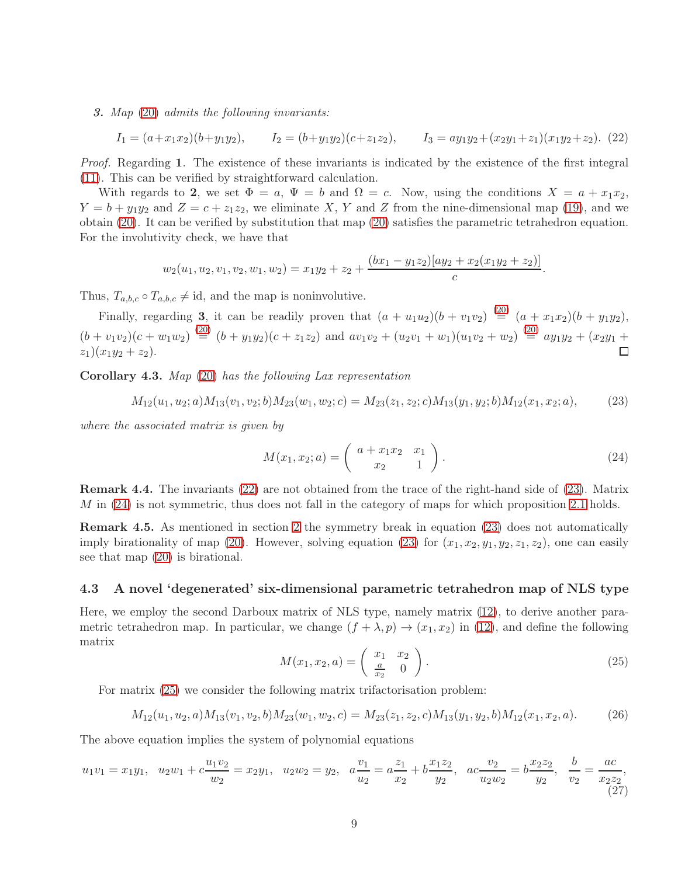3. *Map* [\(20\)](#page-7-0) *admits the following invariants:*

<span id="page-8-0"></span>
$$
I_1 = (a+x_1x_2)(b+y_1y_2), \qquad I_2 = (b+y_1y_2)(c+z_1z_2), \qquad I_3 = ay_1y_2+(x_2y_1+z_1)(x_1y_2+z_2).
$$
 (22)

*Proof.* Regarding 1. The existence of these invariants is indicated by the existence of the first integral [\(11\)](#page-5-1). This can be verified by straightforward calculation.

With regards to 2, we set  $\Phi = a$ ,  $\Psi = b$  and  $\Omega = c$ . Now, using the conditions  $X = a + x_1x_2$ ,  $Y = b + y_1y_2$  and  $Z = c + z_1z_2$ , we eliminate X, Y and Z from the nine-dimensional map [\(19\)](#page-6-3), and we obtain [\(20\)](#page-7-0). It can be verified by substitution that map [\(20\)](#page-7-0) satisfies the parametric tetrahedron equation. For the involutivity check, we have that

$$
w_2(u_1, u_2, v_1, v_2, w_1, w_2) = x_1y_2 + z_2 + \frac{(bx_1 - y_1z_2)[ay_2 + x_2(x_1y_2 + z_2)]}{c}
$$

Thus,  $T_{a,b,c} \circ T_{a,b,c} \neq \text{id}$ , and the map is noninvolutive.

Finally, regarding 3, it can be readily proven that  $(a + u_1u_2)(b + v_1v_2) \stackrel{(20)}{=} (a + x_1x_2)(b + y_1y_2)$  $(a + u_1u_2)(b + v_1v_2) \stackrel{(20)}{=} (a + x_1x_2)(b + y_1y_2)$  $(a + u_1u_2)(b + v_1v_2) \stackrel{(20)}{=} (a + x_1x_2)(b + y_1y_2)$ ,  $(b + v_1v_2)(c + w_1w_2) \stackrel{(20)}{=} (b + y_1y_2)(c + z_1z_2)$  $(b + v_1v_2)(c + w_1w_2) \stackrel{(20)}{=} (b + y_1y_2)(c + z_1z_2)$  $(b + v_1v_2)(c + w_1w_2) \stackrel{(20)}{=} (b + y_1y_2)(c + z_1z_2)$  and  $av_1v_2 + (u_2v_1 + w_1)(u_1v_2 + w_2) \stackrel{(20)}{=} ay_1y_2 + (x_2y_1 + w_1)v_2$  $z_1)(x_1y_2 + z_2).$ П

Corollary 4.3. *Map* [\(20\)](#page-7-0) *has the following Lax representation*

<span id="page-8-1"></span>
$$
M_{12}(u_1, u_2; a)M_{13}(v_1, v_2; b)M_{23}(w_1, w_2; c) = M_{23}(z_1, z_2; c)M_{13}(y_1, y_2; b)M_{12}(x_1, x_2; a),
$$
\n(23)

*where the associated matrix is given by*

<span id="page-8-2"></span>
$$
M(x_1, x_2; a) = \begin{pmatrix} a + x_1 x_2 & x_1 \\ x_2 & 1 \end{pmatrix}.
$$
 (24)

.

Remark 4.4. The invariants [\(22\)](#page-8-0) are not obtained from the trace of the right-hand side of [\(23\)](#page-8-1). Matrix  $M$  in [\(24\)](#page-8-2) is not symmetric, thus does not fall in the category of maps for which proposition [2.1](#page-3-4) holds.

Remark 4.5. As mentioned in section [2](#page-2-4) the symmetry break in equation [\(23\)](#page-8-1) does not automatically imply birationality of map [\(20\)](#page-7-0). However, solving equation [\(23\)](#page-8-1) for  $(x_1, x_2, y_1, y_2, z_1, z_2)$ , one can easily see that map [\(20\)](#page-7-0) is birational.

#### <span id="page-8-4"></span>4.3 A novel 'degenerated' six-dimensional parametric tetrahedron map of NLS type

Here, we employ the second Darboux matrix of NLS type, namely matrix [\(12\)](#page-5-4), to derive another parametric tetrahedron map. In particular, we change  $(f + \lambda, p) \rightarrow (x_1, x_2)$  in [\(12\)](#page-5-4), and define the following matrix

<span id="page-8-3"></span>
$$
M(x_1, x_2, a) = \begin{pmatrix} x_1 & x_2 \\ \frac{a}{x_2} & 0 \end{pmatrix}.
$$
 (25)

For matrix [\(25\)](#page-8-3) we consider the following matrix trifactorisation problem:

$$
M_{12}(u_1, u_2, a)M_{13}(v_1, v_2, b)M_{23}(w_1, w_2, c) = M_{23}(z_1, z_2, c)M_{13}(y_1, y_2, b)M_{12}(x_1, x_2, a). \tag{26}
$$

The above equation implies the system of polynomial equations

<span id="page-8-5"></span>
$$
u_1v_1 = x_1y_1, \quad u_2w_1 + c\frac{u_1v_2}{w_2} = x_2y_1, \quad u_2w_2 = y_2, \quad a\frac{v_1}{u_2} = a\frac{z_1}{x_2} + b\frac{x_1z_2}{y_2}, \quad ac\frac{v_2}{u_2w_2} = b\frac{x_2z_2}{y_2}, \quad \frac{b}{v_2} = \frac{ac}{x_2z_2}, \tag{27}
$$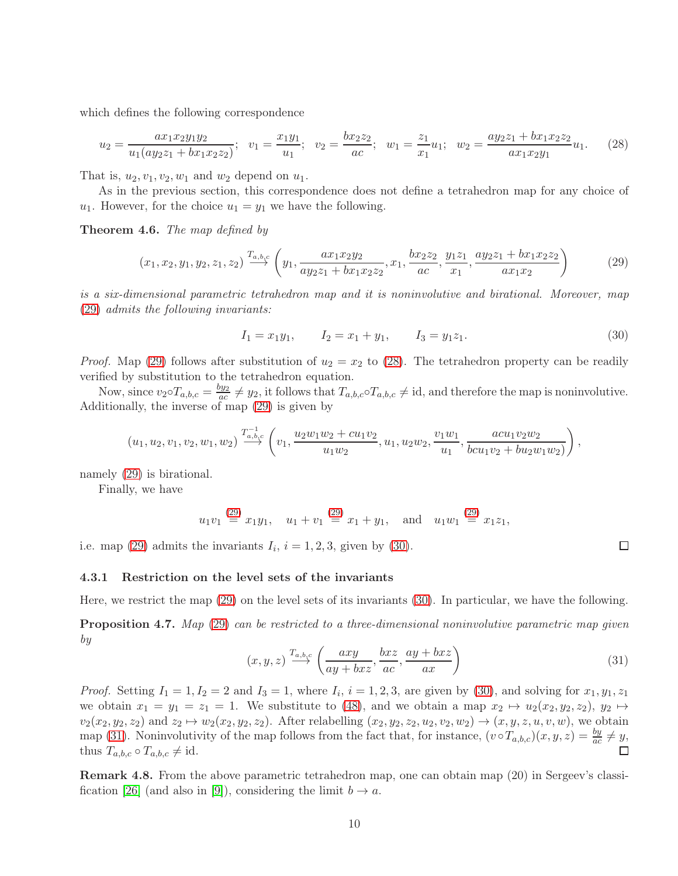which defines the following correspondence

<span id="page-9-1"></span>
$$
u_2 = \frac{ax_1x_2y_1y_2}{u_1(ay_2z_1 + bx_1x_2z_2)}; \ \ v_1 = \frac{x_1y_1}{u_1}; \ \ v_2 = \frac{bx_2z_2}{ac}; \ \ w_1 = \frac{z_1}{x_1}u_1; \ \ w_2 = \frac{ay_2z_1 + bx_1x_2z_2}{ax_1x_2y_1}u_1. \tag{28}
$$

That is,  $u_2, v_1, v_2, w_1$  and  $w_2$  depend on  $u_1$ .

As in the previous section, this correspondence does not define a tetrahedron map for any choice of  $u_1$ . However, for the choice  $u_1 = y_1$  we have the following.

Theorem 4.6. *The map defined by*

<span id="page-9-0"></span>
$$
(x_1, x_2, y_1, y_2, z_1, z_2) \xrightarrow{T_{a, b, c}} \left( y_1, \frac{ax_1 x_2 y_2}{ay_2 z_1 + bx_1 x_2 z_2}, x_1, \frac{bx_2 z_2}{ac}, \frac{y_1 z_1}{x_1}, \frac{ay_2 z_1 + bx_1 x_2 z_2}{ax_1 x_2} \right)
$$
(29)

*is a six-dimensional parametric tetrahedron map and it is noninvolutive and birational. Moreover, map* [\(29\)](#page-9-0) *admits the following invariants:*

<span id="page-9-2"></span>
$$
I_1 = x_1 y_1, \qquad I_2 = x_1 + y_1, \qquad I_3 = y_1 z_1. \tag{30}
$$

*Proof.* Map [\(29\)](#page-9-0) follows after substitution of  $u_2 = x_2$  to [\(28\)](#page-9-1). The tetrahedron property can be readily verified by substitution to the tetrahedron equation.

Now, since  $v_2 \circ T_{a,b,c} = \frac{by_2}{ac}$  $\frac{dy_2}{dx} \neq y_2$ , it follows that  $T_{a,b,c} \circ T_{a,b,c} \neq id$ , and therefore the map is noninvolutive. Additionally, the inverse of map [\(29\)](#page-9-0) is given by

$$
(u_1, u_2, v_1, v_2, w_1, w_2) \stackrel{T_{a,b,c}^{-1}}{\longrightarrow} \left(v_1, \frac{u_2w_1w_2 + cu_1v_2}{u_1w_2}, u_1, u_2w_2, \frac{v_1w_1}{u_1}, \frac{acu_1v_2w_2}{bcu_1v_2 + bu_2w_1w_2)}\right),
$$

namely [\(29\)](#page-9-0) is birational.

Finally, we have

$$
u_1v_1 \stackrel{(29)}{=} x_1y_1
$$
,  $u_1 + v_1 \stackrel{(29)}{=} x_1 + y_1$ , and  $u_1w_1 \stackrel{(29)}{=} x_1z_1$ ,

i.e. map [\(29\)](#page-9-0) admits the invariants  $I_i$ ,  $i = 1, 2, 3$ , given by [\(30\)](#page-9-2).

#### 4.3.1 Restriction on the level sets of the invariants

Here, we restrict the map [\(29\)](#page-9-0) on the level sets of its invariants [\(30\)](#page-9-2). In particular, we have the following.

Proposition 4.7. *Map* [\(29\)](#page-9-0) *can be restricted to a three-dimensional noninvolutive parametric map given by*

<span id="page-9-3"></span>
$$
(x, y, z) \xrightarrow{T_{a, b, c}} \left( \frac{axy}{ay + bxz}, \frac{bxz}{ac}, \frac{ay + bxz}{ax} \right)
$$
 (31)

 $\Box$ 

*Proof.* Setting  $I_1 = 1, I_2 = 2$  and  $I_3 = 1$ , where  $I_i$ ,  $i = 1, 2, 3$ , are given by [\(30\)](#page-9-2), and solving for  $x_1, y_1, z_1$ we obtain  $x_1 = y_1 = z_1 = 1$ . We substitute to [\(48\)](#page-14-0), and we obtain a map  $x_2 \mapsto u_2(x_2, y_2, z_2), y_2 \mapsto$  $v_2(x_2, y_2, z_2)$  and  $z_2 \mapsto w_2(x_2, y_2, z_2)$ . After relabelling  $(x_2, y_2, z_2, u_2, v_2, w_2) \to (x, y, z, u, v, w)$ , we obtain map [\(31\)](#page-9-3). Noninvolutivity of the map follows from the fact that, for instance,  $(v \circ T_{a,b,c})(x, y, z) = \frac{by}{ac} \neq y$ , thus  $T_{a,b,c} \circ T_{a,b,c} \neq \text{id}$ .

Remark 4.8. From the above parametric tetrahedron map, one can obtain map (20) in Sergeev's classi-fication [\[26\]](#page-18-3) (and also in [\[9\]](#page-17-1)), considering the limit  $b \to a$ .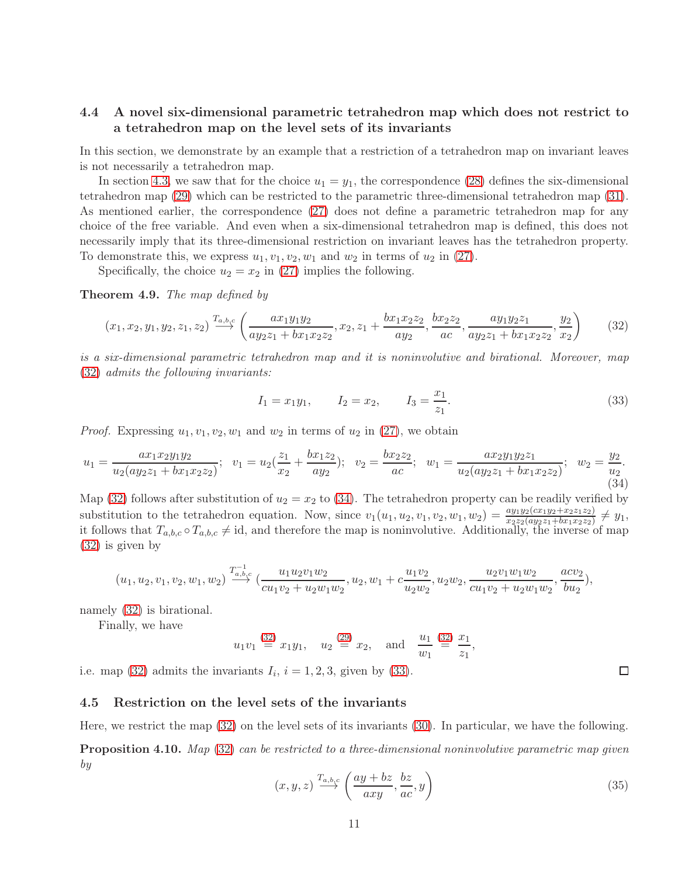### 4.4 A novel six-dimensional parametric tetrahedron map which does not restrict to a tetrahedron map on the level sets of its invariants

In this section, we demonstrate by an example that a restriction of a tetrahedron map on invariant leaves is not necessarily a tetrahedron map.

In section [4.3,](#page-8-4) we saw that for the choice  $u_1 = y_1$ , the correspondence [\(28\)](#page-9-1) defines the six-dimensional tetrahedron map [\(29\)](#page-9-0) which can be restricted to the parametric three-dimensional tetrahedron map [\(31\)](#page-9-3). As mentioned earlier, the correspondence [\(27\)](#page-8-5) does not define a parametric tetrahedron map for any choice of the free variable. And even when a six-dimensional tetrahedron map is defined, this does not necessarily imply that its three-dimensional restriction on invariant leaves has the tetrahedron property. To demonstrate this, we express  $u_1, v_1, v_2, w_1$  and  $w_2$  in terms of  $u_2$  in [\(27\)](#page-8-5).

Specifically, the choice  $u_2 = x_2$  in [\(27\)](#page-8-5) implies the following.

Theorem 4.9. *The map defined by*

<span id="page-10-0"></span>
$$
(x_1, x_2, y_1, y_2, z_1, z_2) \xrightarrow{T_{a, b, c}} \left( \frac{ax_1 y_1 y_2}{ay_2 z_1 + bx_1 x_2 z_2}, x_2, z_1 + \frac{bx_1 x_2 z_2}{ay_2}, \frac{bx_2 z_2}{ac}, \frac{ay_1 y_2 z_1}{ay_2 z_1 + bx_1 x_2 z_2}, \frac{y_2}{x_2} \right)
$$
(32)

*is a six-dimensional parametric tetrahedron map and it is noninvolutive and birational. Moreover, map* [\(32\)](#page-10-0) *admits the following invariants:*

<span id="page-10-2"></span>
$$
I_1 = x_1 y_1,
$$
  $I_2 = x_2,$   $I_3 = \frac{x_1}{z_1}.$  (33)

*Proof.* Expressing  $u_1, v_1, v_2, w_1$  and  $w_2$  in terms of  $u_2$  in [\(27\)](#page-8-5), we obtain

<span id="page-10-1"></span>
$$
u_1 = \frac{ax_1x_2y_1y_2}{u_2(ay_2z_1 + bx_1x_2z_2)}; \ \ v_1 = u_2(\frac{z_1}{x_2} + \frac{bx_1z_2}{ay_2}); \ \ v_2 = \frac{bx_2z_2}{ac}; \ \ w_1 = \frac{ax_2y_1y_2z_1}{u_2(ay_2z_1 + bx_1x_2z_2)}; \ \ w_2 = \frac{y_2}{u_2}.
$$
\n
$$
(34)
$$

Map [\(32\)](#page-10-0) follows after substitution of  $u_2 = x_2$  to [\(34\)](#page-10-1). The tetrahedron property can be readily verified by substitution to the tetrahedron equation. Now, since  $v_1(u_1, u_2, v_1, v_2, w_1, w_2) = \frac{ay_1y_2(cx_1y_2+x_2z_1z_2)}{x_2z_2(ay_2z_1+bx_1x_2z_2)} \neq y_1$ it follows that  $T_{a,b,c} \circ T_{a,b,c} \neq id$ , and therefore the map is noninvolutive. Additionally, the inverse of map [\(32\)](#page-10-0) is given by

$$
(u_1,u_2,v_1,v_2,w_1,w_2)\overset{T_{a,b,c}^{-1}}{\longrightarrow}(\frac{u_1u_2v_1w_2}{cu_1v_2+u_2w_1w_2},u_2,w_1+c\frac{u_1v_2}{u_2w_2},u_2w_2,\frac{u_2v_1w_1w_2}{cu_1v_2+u_2w_1w_2},\frac{acv_2}{bu_2}),
$$

namely [\(32\)](#page-10-0) is birational.

Finally, we have

$$
u_1v_1 \stackrel{(32)}{=} x_1y_1
$$
,  $u_2 \stackrel{(29)}{=} x_2$ , and  $\frac{u_1}{w_1} \stackrel{(32)}{=} \frac{x_1}{z_1}$ 

i.e. map [\(32\)](#page-10-0) admits the invariants  $I_i$ ,  $i = 1, 2, 3$ , given by [\(33\)](#page-10-2).

#### 4.5 Restriction on the level sets of the invariants

Here, we restrict the map [\(32\)](#page-10-0) on the level sets of its invariants [\(30\)](#page-9-2). In particular, we have the following.

# Proposition 4.10. *Map* [\(32\)](#page-10-0) *can be restricted to a three-dimensional noninvolutive parametric map given by*

<span id="page-10-3"></span>
$$
(x, y, z) \xrightarrow{T_{a, b, c}} \left(\frac{ay + bz}{axy}, \frac{bz}{ac}, y\right)
$$
\n
$$
(35)
$$

,

 $\Box$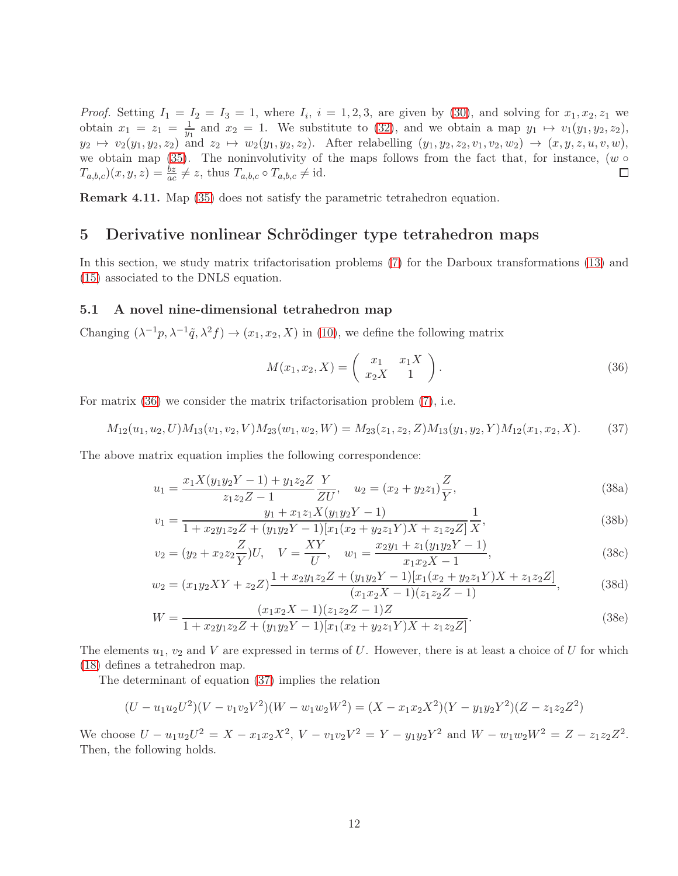*Proof.* Setting  $I_1 = I_2 = I_3 = 1$ , where  $I_i$ ,  $i = 1, 2, 3$ , are given by [\(30\)](#page-9-2), and solving for  $x_1, x_2, z_1$  we obtain  $x_1 = z_1 = \frac{1}{y_1}$  and  $x_2 = 1$ . We substitute to [\(32\)](#page-10-0), and we obtain a map  $y_1 \mapsto v_1(y_1, y_2, z_2)$ ,  $y_2 \mapsto v_2(y_1, y_2, z_2)$  and  $z_2 \mapsto w_2(y_1, y_2, z_2)$ . After relabelling  $(y_1, y_2, z_2, v_1, v_2, w_2) \mapsto (x, y, z, u, v, w)$ , we obtain map [\(35\)](#page-10-3). The noninvolutivity of the maps follows from the fact that, for instance,  $(w \circ$  $T_{a,b,c}(x,y,z) = \frac{bz}{ac} \neq z$ , thus  $T_{a,b,c} \circ T_{a,b,c} \neq id$ . □

Remark 4.11. Map [\(35\)](#page-10-3) does not satisfy the parametric tetrahedron equation.

### 5 Derivative nonlinear Schrödinger type tetrahedron maps

In this section, we study matrix trifactorisation problems [\(7\)](#page-3-1) for the Darboux transformations [\(13\)](#page-5-5) and [\(15\)](#page-5-6) associated to the DNLS equation.

#### 5.1 A novel nine-dimensional tetrahedron map

Changing  $(\lambda^{-1}p, \lambda^{-1}\tilde{q}, \lambda^2 f) \to (x_1, x_2, X)$  in [\(10\)](#page-5-3), we define the following matrix

<span id="page-11-3"></span><span id="page-11-2"></span><span id="page-11-0"></span>
$$
M(x_1, x_2, X) = \begin{pmatrix} x_1 & x_1 X \\ x_2 X & 1 \end{pmatrix}.
$$
 (36)

For matrix [\(36\)](#page-11-0) we consider the matrix trifactorisation problem [\(7\)](#page-3-1), i.e.

<span id="page-11-1"></span>
$$
M_{12}(u_1, u_2, U)M_{13}(v_1, v_2, V)M_{23}(w_1, w_2, W) = M_{23}(z_1, z_2, Z)M_{13}(y_1, y_2, Y)M_{12}(x_1, x_2, X). \tag{37}
$$

The above matrix equation implies the following correspondence:

$$
u_1 = \frac{x_1 X (y_1 y_2 Y - 1) + y_1 z_2 Z}{z_1 z_2 Z - 1} \frac{Y}{ZU}, \quad u_2 = (x_2 + y_2 z_1) \frac{Z}{Y},
$$
\n(38a)

$$
v_1 = \frac{y_1 + x_1 z_1 X (y_1 y_2 Y - 1)}{1 + x_2 y_1 z_2 Z + (y_1 y_2 Y - 1) [x_1 (x_2 + y_2 z_1 Y) X + z_1 z_2 Z]} \frac{1}{X},
$$
\n(38b)

$$
v_2 = (y_2 + x_2 z_2 \frac{Z}{Y})U, \quad V = \frac{XY}{U}, \quad w_1 = \frac{x_2 y_1 + z_1 (y_1 y_2 Y - 1)}{x_1 x_2 X - 1},
$$
\n(38c)

$$
w_2 = (x_1y_2XY + z_2Z)\frac{1 + x_2y_1z_2Z + (y_1y_2Y - 1)[x_1(x_2 + y_2z_1Y)X + z_1z_2Z]}{(x_1x_2X - 1)(z_1z_2Z - 1)},
$$
(38d)

$$
W = \frac{(x_1x_2X - 1)(z_1z_2Z - 1)Z}{1 + x_2y_1z_2Z + (y_1y_2Y - 1)[x_1(x_2 + y_2z_1Y)X + z_1z_2Z]}.
$$
\n(38e)

The elements  $u_1, v_2$  and V are expressed in terms of U. However, there is at least a choice of U for which [\(18\)](#page-6-1) defines a tetrahedron map.

The determinant of equation [\(37\)](#page-11-1) implies the relation

$$
(U - u_1 u_2 U^2)(V - v_1 v_2 V^2)(W - w_1 w_2 W^2) = (X - x_1 x_2 X^2)(Y - y_1 y_2 Y^2)(Z - z_1 z_2 Z^2)
$$

We choose  $U - u_1 u_2 U^2 = X - x_1 x_2 X^2$ ,  $V - v_1 v_2 V^2 = Y - y_1 y_2 Y^2$  and  $W - w_1 w_2 W^2 = Z - z_1 z_2 Z^2$ . Then, the following holds.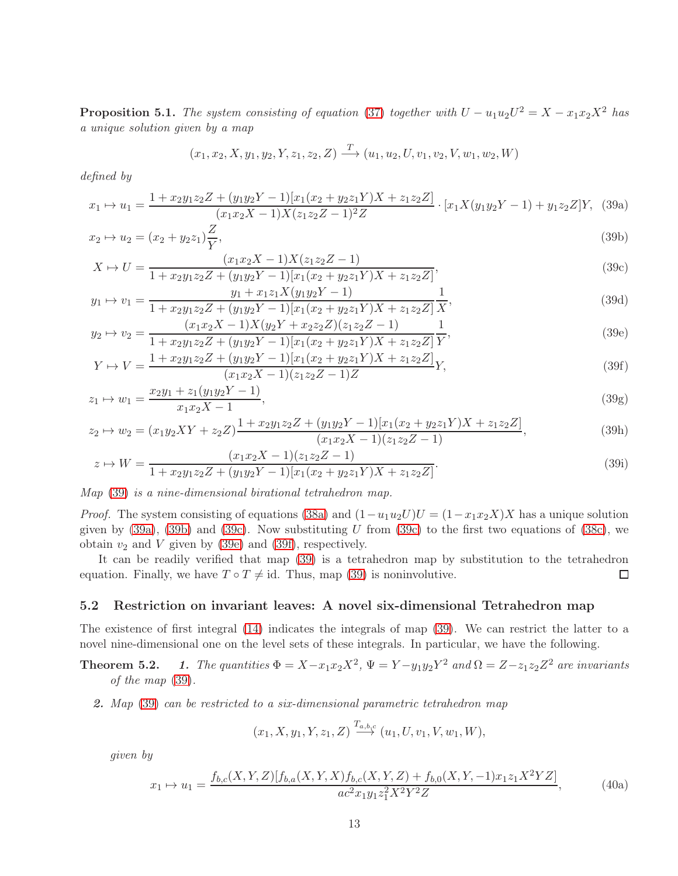**Proposition 5.1.** *The system consisting of equation* [\(37\)](#page-11-1) *together with*  $U - u_1u_2U^2 = X - x_1x_2X^2$  *has a unique solution given by a map*

<span id="page-12-5"></span><span id="page-12-4"></span><span id="page-12-3"></span><span id="page-12-2"></span><span id="page-12-1"></span>
$$
(x_1, x_2, X, y_1, y_2, Y, z_1, z_2, Z) \xrightarrow{T} (u_1, u_2, U, v_1, v_2, V, w_1, w_2, W)
$$

*defined by*

<span id="page-12-0"></span>
$$
x_1 \mapsto u_1 = \frac{1 + x_2 y_1 z_2 Z + (y_1 y_2 Y - 1)[x_1 (x_2 + y_2 z_1 Y) X + z_1 z_2 Z]}{(x_1 x_2 X - 1) X (z_1 z_2 Z - 1)^2 Z} \cdot [x_1 X (y_1 y_2 Y - 1) + y_1 z_2 Z] Y, (39a)
$$

$$
x_2 \mapsto u_2 = (x_2 + y_2 z_1) \frac{Z}{Y},\tag{39b}
$$

$$
X \mapsto U = \frac{(x_1 x_2 X - 1)X (z_1 z_2 Z - 1)}{1 + x_2 y_1 z_2 Z + (y_1 y_2 Y - 1)[x_1 (x_2 + y_2 z_1 Y)X + z_1 z_2 Z]},
$$
\n(39c)

$$
y_1 \mapsto v_1 = \frac{y_1 + x_1 z_1 X (y_1 y_2 Y - 1)}{1 + x_2 y_1 z_2 Z + (y_1 y_2 Y - 1) [x_1 (x_2 + y_2 z_1 Y) X + z_1 z_2 Z]} \frac{1}{X},
$$
\n
$$
(39d)
$$
\n
$$
(x_1 x_2 X - 1) X (y_1 X + x_1 z_2 Z) (x_1 x_2 Z - 1) = 1
$$
\n
$$
(48d)
$$

$$
y_2 \mapsto v_2 = \frac{(x_1x_2X - 1)X(y_2Y + x_2z_2Z)(z_1z_2Z - 1)}{1 + x_2y_1z_2Z + (y_1y_2Y - 1)[x_1(x_2 + y_2z_1Y)X + z_1z_2Z]} \frac{1}{Y},
$$
\n
$$
1 + x_2y_1z_2Z + (y_1y_2Y - 1)[x_1(x_2 + y_2z_1Y)X + z_1z_2Z] \frac{1}{Y},
$$
\n(39e)

$$
Y \mapsto V = \frac{1 + x_2 y_1 z_2 Z + (y_1 y_2 Y - 1)[x_1 (x_2 + y_2 z_1 Y) X + z_1 z_2 Z]}{(x_1 x_2 X - 1)(z_1 z_2 Z - 1) Z} Y,
$$
\n(39f)

$$
z_1 \mapsto w_1 = \frac{x_2 y_1 + z_1 (y_1 y_2 Y - 1)}{x_1 x_2 X - 1},\tag{39g}
$$

$$
z_2 \mapsto w_2 = (x_1 y_2 XY + z_2 Z) \frac{1 + x_2 y_1 z_2 Z + (y_1 y_2 Y - 1)[x_1 (x_2 + y_2 z_1 Y) X + z_1 z_2 Z]}{(x_1 x_2 X - 1)(z_1 z_2 Z - 1)},
$$
\n(39h)

$$
z \mapsto W = \frac{(x_1 x_2 X - 1)(z_1 z_2 Z - 1)}{1 + x_2 y_1 z_2 Z + (y_1 y_2 Y - 1)[x_1 (x_2 + y_2 z_1 Y) X + z_1 z_2 Z]}.
$$
\n(39i)

*Map* [\(39\)](#page-12-0) *is a nine-dimensional birational tetrahedron map.*

*Proof.* The system consisting of equations [\(38a\)](#page-11-2) and  $(1-u_1u_2U)U = (1-x_1x_2X)X$  has a unique solution given by  $(39a)$ ,  $(39b)$  and  $(39c)$ . Now substituting U from  $(39c)$  to the first two equations of  $(38c)$ , we obtain  $v_2$  and V given by [\(39e\)](#page-12-4) and [\(39f\)](#page-12-5), respectively.

It can be readily verified that map [\(39\)](#page-12-0) is a tetrahedron map by substitution to the tetrahedron equation. Finally, we have  $T \circ T \neq id$ . Thus, map [\(39\)](#page-12-0) is noninvolutive.  $\Box$ 

#### 5.2 Restriction on invariant leaves: A novel six-dimensional Tetrahedron map

The existence of first integral [\(14\)](#page-5-2) indicates the integrals of map [\(39\)](#page-12-0). We can restrict the latter to a novel nine-dimensional one on the level sets of these integrals. In particular, we have the following.

- **Theorem 5.2.** 1. The quantities  $\Phi = X x_1x_2X^2$ ,  $\Psi = Y y_1y_2Y^2$  and  $\Omega = Z z_1z_2Z^2$  are invariants *of the map* [\(39\)](#page-12-0)*.*
	- 2. *Map* [\(39\)](#page-12-0) *can be restricted to a six-dimensional parametric tetrahedron map*

$$
(x_1, X, y_1, Y, z_1, Z) \xrightarrow{T_{a,b,c}} (u_1, U, v_1, V, w_1, W),
$$

*given by*

<span id="page-12-6"></span>
$$
x_1 \mapsto u_1 = \frac{f_{b,c}(X,Y,Z)[f_{b,a}(X,Y,X)f_{b,c}(X,Y,Z) + f_{b,0}(X,Y,-1)x_1z_1X^2YZ]}{ac^2x_1y_1z_1^2X^2Y^2Z},
$$
\n(40a)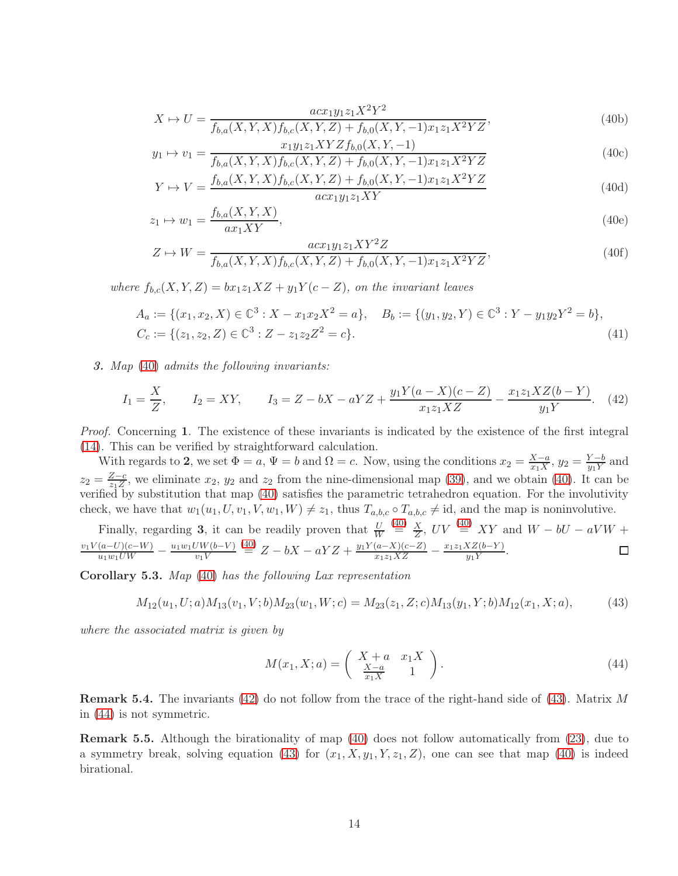$$
X \mapsto U = \frac{acx_1y_1z_1X^2Y^2}{f_{b,a}(X,Y,X)f_{b,c}(X,Y,Z) + f_{b,0}(X,Y,-1)x_1z_1X^2YZ},\tag{40b}
$$

$$
y_1 \mapsto v_1 = \frac{x_1 y_1 z_1 X Y Z f_{b,0}(X, Y, -1)}{f_{b,a}(X, Y, X) f_{b,c}(X, Y, Z) + f_{b,0}(X, Y, -1) x_1 z_1 X^2 Y Z}
$$
(40c)

$$
Y \mapsto V = \frac{f_{b,a}(X,Y,X)f_{b,c}(X,Y,Z) + f_{b,0}(X,Y,-1)x_1z_1X^2YZ}{acx_1y_1z_1XY}
$$
\n(40d)

$$
z_1 \mapsto w_1 = \frac{f_{b,a}(X,Y,X)}{ax_1XY},\tag{40e}
$$

$$
Z \mapsto W = \frac{acx_1y_1z_1XY^2Z}{f_{b,a}(X,Y,X)f_{b,c}(X,Y,Z) + f_{b,0}(X,Y,-1)x_1z_1X^2YZ},\tag{40f}
$$

*where*  $f_{b,c}(X, Y, Z) = bx_1z_1XZ + y_1Y(c - Z)$ *, on the invariant leaves* 

$$
A_a := \{(x_1, x_2, X) \in \mathbb{C}^3 : X - x_1 x_2 X^2 = a\}, \quad B_b := \{(y_1, y_2, Y) \in \mathbb{C}^3 : Y - y_1 y_2 Y^2 = b\},
$$
  

$$
C_c := \{(z_1, z_2, Z) \in \mathbb{C}^3 : Z - z_1 z_2 Z^2 = c\}.
$$
 (41)

3. *Map* [\(40\)](#page-12-6) *admits the following invariants:*

<span id="page-13-0"></span>
$$
I_1 = \frac{X}{Z}, \qquad I_2 = XY, \qquad I_3 = Z - bX - aYZ + \frac{y_1 Y(a - X)(c - Z)}{x_1 z_1 X Z} - \frac{x_1 z_1 X Z(b - Y)}{y_1 Y}.
$$
 (42)

*Proof.* Concerning 1. The existence of these invariants is indicated by the existence of the first integral [\(14\)](#page-5-2). This can be verified by straightforward calculation.

With regards to 2, we set  $\Phi = a$ ,  $\Psi = b$  and  $\Omega = c$ . Now, using the conditions  $x_2 = \frac{X-a}{x_1X}$ ,  $y_2 = \frac{Y-b}{y_1Y}$  and  $z_2 = \frac{Z-c}{z_1Z}$ , we eliminate  $x_2$ ,  $y_2$  and  $z_2$  from the nine-dimensional map [\(39\)](#page-12-0), and we obtain [\(40\)](#page-12-6). It can be verified by substitution that map [\(40\)](#page-12-6) satisfies the parametric tetrahedron equation. For the involutivity check, we have that  $w_1(u_1, U, v_1, V, w_1, W) \neq z_1$ , thus  $T_{a,b,c} \circ T_{a,b,c} \neq id$ , and the map is noninvolutive.

Finally, regarding **3**, it can be readily proven that 
$$
\frac{U}{W} \stackrel{(40)}{=} \frac{X}{Z}
$$
,  $UV \stackrel{(40)}{=} XY$  and  $W - bU - aVW + \frac{v_1V(a-U)(c-W)}{u_1w_1UW} - \frac{u_1w_1UW(b-V)}{v_1V} \stackrel{(40)}{=} Z - bX - aYZ + \frac{y_1Y(a-X)(c-Z)}{x_1z_1XZ} - \frac{x_1z_1XZ(b-Y)}{y_1Y}$ .

Corollary 5.3. *Map* [\(40\)](#page-12-6) *has the following Lax representation*

<span id="page-13-1"></span>
$$
M_{12}(u_1, U; a)M_{13}(v_1, V; b)M_{23}(w_1, W; c) = M_{23}(z_1, Z; c)M_{13}(y_1, Y; b)M_{12}(x_1, X; a), \tag{43}
$$

*where the associated matrix is given by*

<span id="page-13-2"></span>
$$
M(x_1, X; a) = \begin{pmatrix} X + a & x_1 X \\ \frac{X - a}{x_1 X} & 1 \end{pmatrix}.
$$
 (44)

Remark 5.4. The invariants [\(42\)](#page-13-0) do not follow from the trace of the right-hand side of [\(43\)](#page-13-1). Matrix M in [\(44\)](#page-13-2) is not symmetric.

Remark 5.5. Although the birationality of map [\(40\)](#page-12-6) does not follow automatically from [\(23\)](#page-8-1), due to a symmetry break, solving equation [\(43\)](#page-13-1) for  $(x_1, X, y_1, Y, z_1, Z)$ , one can see that map [\(40\)](#page-12-6) is indeed birational.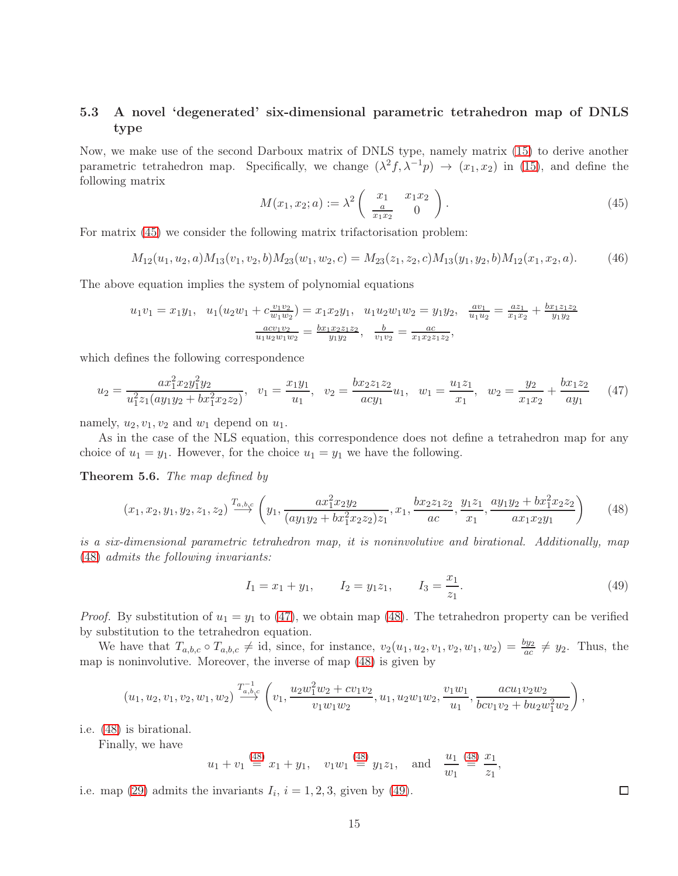### 5.3 A novel 'degenerated' six-dimensional parametric tetrahedron map of DNLS type

Now, we make use of the second Darboux matrix of DNLS type, namely matrix [\(15\)](#page-5-6) to derive another parametric tetrahedron map. Specifically, we change  $(\lambda^2 f, \lambda^{-1} p) \to (x_1, x_2)$  in [\(15\)](#page-5-6), and define the following matrix

<span id="page-14-1"></span>
$$
M(x_1, x_2; a) := \lambda^2 \begin{pmatrix} x_1 & x_1 x_2 \\ \frac{a}{x_1 x_2} & 0 \end{pmatrix}.
$$
 (45)

For matrix [\(45\)](#page-14-1) we consider the following matrix trifactorisation problem:

$$
M_{12}(u_1, u_2, a)M_{13}(v_1, v_2, b)M_{23}(w_1, w_2, c) = M_{23}(z_1, z_2, c)M_{13}(y_1, y_2, b)M_{12}(x_1, x_2, a). \tag{46}
$$

The above equation implies the system of polynomial equations

$$
u_1v_1 = x_1y_1, \quad u_1(u_2w_1 + c\frac{v_1v_2}{w_1w_2}) = x_1x_2y_1, \quad u_1u_2w_1w_2 = y_1y_2, \quad \frac{av_1}{u_1u_2} = \frac{az_1}{x_1x_2} + \frac{bx_1z_1z_2}{y_1y_2}
$$

$$
\frac{acv_1v_2}{u_1u_2w_1w_2} = \frac{bx_1x_2z_1z_2}{y_1y_2}, \quad \frac{b}{v_1v_2} = \frac{ac}{x_1x_2z_1z_2},
$$

which defines the following correspondence

<span id="page-14-2"></span>
$$
u_2 = \frac{ax_1^2x_2y_1^2y_2}{u_1^2z_1(ay_1y_2 + bx_1^2x_2z_2)}, \quad v_1 = \frac{x_1y_1}{u_1}, \quad v_2 = \frac{bx_2z_1z_2}{acy_1}u_1, \quad w_1 = \frac{u_1z_1}{x_1}, \quad w_2 = \frac{y_2}{x_1x_2} + \frac{bx_1z_2}{ay_1} \tag{47}
$$

namely,  $u_2, v_1, v_2$  and  $w_1$  depend on  $u_1$ .

As in the case of the NLS equation, this correspondence does not define a tetrahedron map for any choice of  $u_1 = y_1$ . However, for the choice  $u_1 = y_1$  we have the following.

Theorem 5.6. *The map defined by*

<span id="page-14-0"></span>
$$
(x_1, x_2, y_1, y_2, z_1, z_2) \xrightarrow{T_{a, b, c}} \left( y_1, \frac{ax_1^2 x_2 y_2}{(ay_1 y_2 + bx_1^2 x_2 z_2) z_1}, x_1, \frac{bx_2 z_1 z_2}{ac}, \frac{y_1 z_1}{x_1}, \frac{ay_1 y_2 + bx_1^2 x_2 z_2}{ax_1 x_2 y_1} \right)
$$
(48)

*is a six-dimensional parametric tetrahedron map, it is noninvolutive and birational. Additionally, map* [\(48\)](#page-14-0) *admits the following invariants:*

<span id="page-14-3"></span>
$$
I_1 = x_1 + y_1,
$$
  $I_2 = y_1 z_1,$   $I_3 = \frac{x_1}{z_1}.$  (49)

 $\Box$ 

*Proof.* By substitution of  $u_1 = y_1$  to [\(47\)](#page-14-2), we obtain map [\(48\)](#page-14-0). The tetrahedron property can be verified by substitution to the tetrahedron equation.

We have that  $T_{a,b,c} \circ T_{a,b,c} \neq id$ , since, for instance,  $v_2(u_1, u_2, v_1, v_2, w_1, w_2) = \frac{by_2}{ac} \neq y_2$ . Thus, the map is noninvolutive. Moreover, the inverse of map [\(48\)](#page-14-0) is given by

$$
(u_1,u_2,v_1,v_2,w_1,w_2)\overset{T_{a,b,c}^{-1}}{\longrightarrow} \left(v_1,\frac{u_2w_1^2w_2+cv_1v_2}{v_1w_1w_2},u_1,u_2w_1w_2,\frac{v_1w_1}{u_1},\frac{acu_1v_2w_2}{bcv_1v_2+bu_2w_1^2w_2}\right),
$$

i.e. [\(48\)](#page-14-0) is birational.

Finally, we have

$$
u_1 + v_1 \stackrel{(48)}{=} x_1 + y_1
$$
,  $v_1 w_1 \stackrel{(48)}{=} y_1 z_1$ , and  $\frac{u_1}{w_1} \stackrel{(48)}{=} \frac{x_1}{z_1}$ ,

i.e. map [\(29\)](#page-9-0) admits the invariants  $I_i$ ,  $i = 1, 2, 3$ , given by [\(49\)](#page-14-3).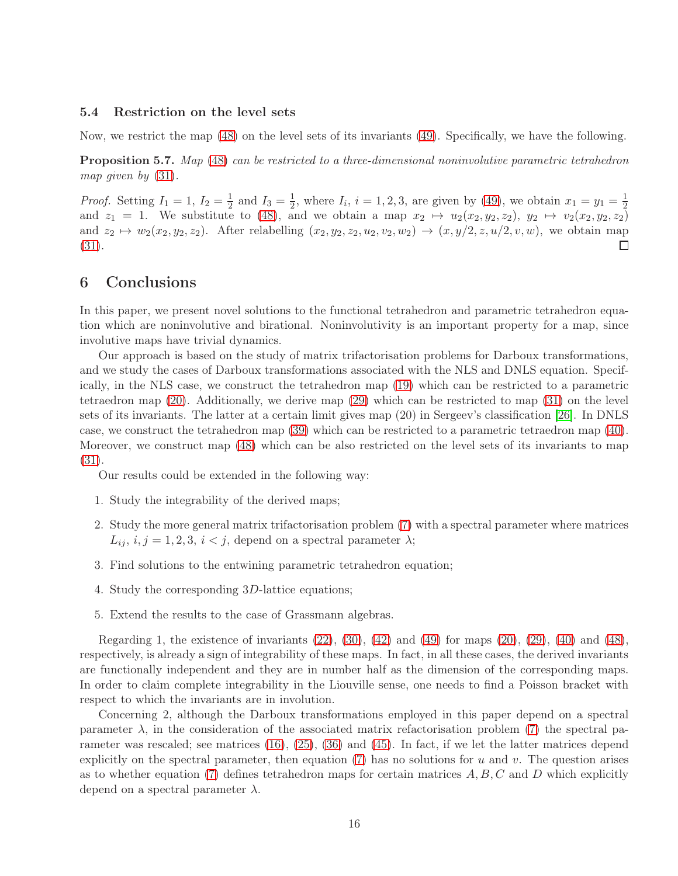#### 5.4 Restriction on the level sets

Now, we restrict the map [\(48\)](#page-14-0) on the level sets of its invariants [\(49\)](#page-14-3). Specifically, we have the following.

Proposition 5.7. *Map* [\(48\)](#page-14-0) *can be restricted to a three-dimensional noninvolutive parametric tetrahedron map given by* [\(31\)](#page-9-3)*.*

*Proof.* Setting  $I_1 = 1, I_2 = \frac{1}{2}$  $\frac{1}{2}$  and  $I_3 = \frac{1}{2}$  $\frac{1}{2}$ , where  $I_i$ ,  $i = 1, 2, 3$ , are given by [\(49\)](#page-14-3), we obtain  $x_1 = y_1 = \frac{1}{2}$ and  $z_1 = 1$ . We substitute to [\(48\)](#page-14-0), and we obtain a map  $x_2 \mapsto u_2(x_2, y_2, z_2), y_2 \mapsto v_2(x_2, y_2, z_2)$ and  $z_2 \mapsto w_2(x_2, y_2, z_2)$ . After relabelling  $(x_2, y_2, z_2, u_2, v_2, w_2) \rightarrow (x, y/2, z, u/2, v, w)$ , we obtain map [\(31\)](#page-9-3). П

# 6 Conclusions

In this paper, we present novel solutions to the functional tetrahedron and parametric tetrahedron equation which are noninvolutive and birational. Noninvolutivity is an important property for a map, since involutive maps have trivial dynamics.

Our approach is based on the study of matrix trifactorisation problems for Darboux transformations, and we study the cases of Darboux transformations associated with the NLS and DNLS equation. Specifically, in the NLS case, we construct the tetrahedron map [\(19\)](#page-6-3) which can be restricted to a parametric tetraedron map [\(20\)](#page-7-0). Additionally, we derive map [\(29\)](#page-9-0) which can be restricted to map [\(31\)](#page-9-3) on the level sets of its invariants. The latter at a certain limit gives map (20) in Sergeev's classification [\[26\]](#page-18-3). In DNLS case, we construct the tetrahedron map [\(39\)](#page-12-0) which can be restricted to a parametric tetraedron map [\(40\)](#page-12-6). Moreover, we construct map [\(48\)](#page-14-0) which can be also restricted on the level sets of its invariants to map [\(31\)](#page-9-3).

Our results could be extended in the following way:

- 1. Study the integrability of the derived maps;
- 2. Study the more general matrix trifactorisation problem [\(7\)](#page-3-1) with a spectral parameter where matrices  $L_{ij}$ ,  $i, j = 1, 2, 3, i < j$ , depend on a spectral parameter  $\lambda$ ;
- 3. Find solutions to the entwining parametric tetrahedron equation;
- 4. Study the corresponding 3D-lattice equations;
- 5. Extend the results to the case of Grassmann algebras.

Regarding 1, the existence of invariants  $(22)$ ,  $(30)$ ,  $(42)$  and  $(49)$  for maps  $(20)$ ,  $(29)$ ,  $(40)$  and  $(48)$ , respectively, is already a sign of integrability of these maps. In fact, in all these cases, the derived invariants are functionally independent and they are in number half as the dimension of the corresponding maps. In order to claim complete integrability in the Liouville sense, one needs to find a Poisson bracket with respect to which the invariants are in involution.

Concerning 2, although the Darboux transformations employed in this paper depend on a spectral parameter  $\lambda$ , in the consideration of the associated matrix refactorisation problem [\(7\)](#page-3-1) the spectral parameter was rescaled; see matrices [\(16\)](#page-6-0), [\(25\)](#page-8-3), [\(36\)](#page-11-0) and [\(45\)](#page-14-1). In fact, if we let the latter matrices depend explicitly on the spectral parameter, then equation [\(7\)](#page-3-1) has no solutions for u and v. The question arises as to whether equation [\(7\)](#page-3-1) defines tetrahedron maps for certain matrices  $A, B, C$  and D which explicitly depend on a spectral parameter  $\lambda$ .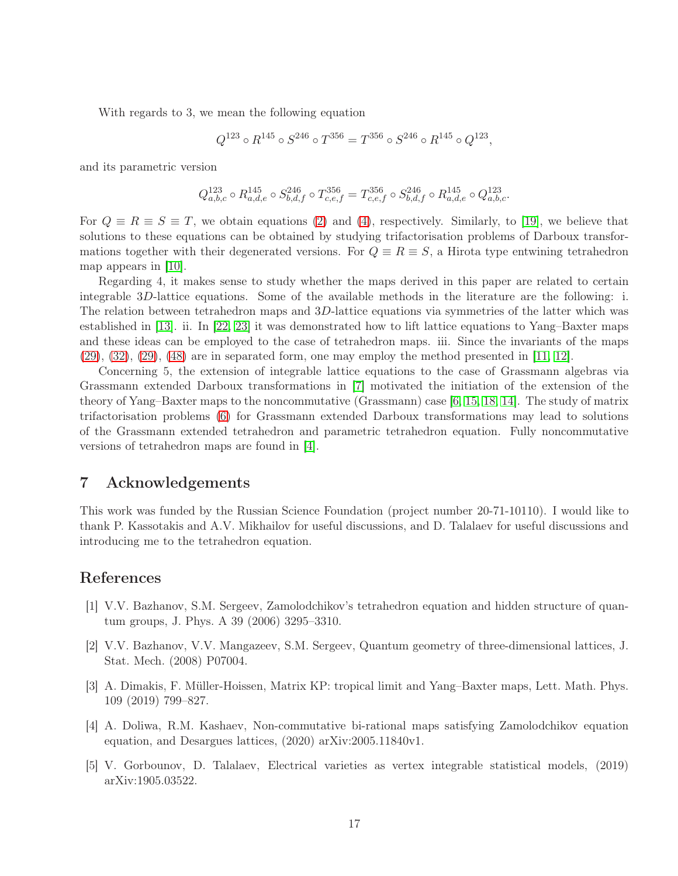With regards to 3, we mean the following equation

$$
Q^{123} \circ R^{145} \circ S^{246} \circ T^{356} = T^{356} \circ S^{246} \circ R^{145} \circ Q^{123},
$$

and its parametric version

$$
Q^{123}_{a,b,c} \circ R^{145}_{a,d,e} \circ S^{246}_{b,d,f} \circ T^{356}_{c,e,f} = T^{356}_{c,e,f} \circ S^{246}_{b,d,f} \circ R^{145}_{a,d,e} \circ Q^{123}_{a,b,c}.
$$

For  $Q \equiv R \equiv S \equiv T$ , we obtain equations [\(2\)](#page-2-0) and [\(4\)](#page-2-3), respectively. Similarly, to [\[19\]](#page-17-7), we believe that solutions to these equations can be obtained by studying trifactorisation problems of Darboux transformations together with their degenerated versions. For  $Q \equiv R \equiv S$ , a Hirota type entwining tetrahedron map appears in [\[10\]](#page-17-8).

Regarding 4, it makes sense to study whether the maps derived in this paper are related to certain integrable 3D-lattice equations. Some of the available methods in the literature are the following: i. The relation between tetrahedron maps and 3D-lattice equations via symmetries of the latter which was established in [\[13\]](#page-17-2). ii. In [\[22,](#page-17-9) [23\]](#page-17-10) it was demonstrated how to lift lattice equations to Yang–Baxter maps and these ideas can be employed to the case of tetrahedron maps. iii. Since the invariants of the maps  $(29), (32), (29), (48)$  $(29), (32), (29), (48)$  $(29), (32), (29), (48)$  $(29), (32), (29), (48)$  $(29), (32), (29), (48)$  $(29), (32), (29), (48)$  $(29), (32), (29), (48)$  are in separated form, one may employ the method presented in [\[11,](#page-17-11) [12\]](#page-17-12).

Concerning 5, the extension of integrable lattice equations to the case of Grassmann algebras via Grassmann extended Darboux transformations in [\[7\]](#page-17-13) motivated the initiation of the extension of the theory of Yang–Baxter maps to the noncommutative (Grassmann) case [\[6,](#page-17-14) [15,](#page-17-15) [18,](#page-17-16) [14\]](#page-17-17). The study of matrix trifactorisation problems [\(6\)](#page-3-2) for Grassmann extended Darboux transformations may lead to solutions of the Grassmann extended tetrahedron and parametric tetrahedron equation. Fully noncommutative versions of tetrahedron maps are found in [\[4\]](#page-16-3).

### 7 Acknowledgements

This work was funded by the Russian Science Foundation (project number 20-71-10110). I would like to thank P. Kassotakis and A.V. Mikhailov for useful discussions, and D. Talalaev for useful discussions and introducing me to the tetrahedron equation.

## <span id="page-16-0"></span>References

- [1] V.V. Bazhanov, S.M. Sergeev, Zamolodchikov's tetrahedron equation and hidden structure of quantum groups, J. Phys. A 39 (2006) 3295–3310.
- <span id="page-16-1"></span>[2] V.V. Bazhanov, V.V. Mangazeev, S.M. Sergeev, Quantum geometry of three-dimensional lattices, J. Stat. Mech. (2008) P07004.
- <span id="page-16-2"></span>[3] A. Dimakis, F. M¨uller-Hoissen, Matrix KP: tropical limit and Yang–Baxter maps, Lett. Math. Phys. 109 (2019) 799–827.
- <span id="page-16-3"></span>[4] A. Doliwa, R.M. Kashaev, Non-commutative bi-rational maps satisfying Zamolodchikov equation equation, and Desargues lattices, (2020) arXiv:2005.11840v1.
- <span id="page-16-4"></span>[5] V. Gorbounov, D. Talalaev, Electrical varieties as vertex integrable statistical models, (2019) arXiv:1905.03522.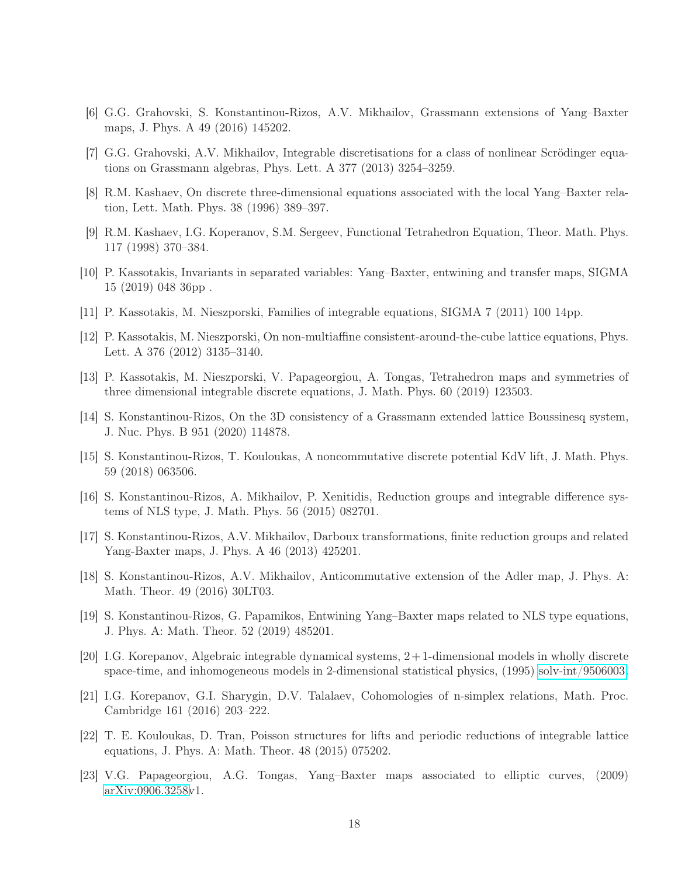- <span id="page-17-14"></span><span id="page-17-13"></span>[6] G.G. Grahovski, S. Konstantinou-Rizos, A.V. Mikhailov, Grassmann extensions of Yang–Baxter maps, J. Phys. A 49 (2016) 145202.
- <span id="page-17-0"></span>[7] G.G. Grahovski, A.V. Mikhailov, Integrable discretisations for a class of nonlinear Scrödinger equations on Grassmann algebras, Phys. Lett. A 377 (2013) 3254–3259.
- <span id="page-17-1"></span>[8] R.M. Kashaev, On discrete three-dimensional equations associated with the local Yang–Baxter relation, Lett. Math. Phys. 38 (1996) 389–397.
- <span id="page-17-8"></span>[9] R.M. Kashaev, I.G. Koperanov, S.M. Sergeev, Functional Tetrahedron Equation, Theor. Math. Phys. 117 (1998) 370–384.
- <span id="page-17-11"></span>[10] P. Kassotakis, Invariants in separated variables: Yang–Baxter, entwining and transfer maps, SIGMA 15 (2019) 048 36pp .
- <span id="page-17-12"></span>[11] P. Kassotakis, M. Nieszporski, Families of integrable equations, SIGMA 7 (2011) 100 14pp.
- <span id="page-17-2"></span>[12] P. Kassotakis, M. Nieszporski, On non-multiaffine consistent-around-the-cube lattice equations, Phys. Lett. A 376 (2012) 3135–3140.
- [13] P. Kassotakis, M. Nieszporski, V. Papageorgiou, A. Tongas, Tetrahedron maps and symmetries of three dimensional integrable discrete equations, J. Math. Phys. 60 (2019) 123503.
- <span id="page-17-17"></span>[14] S. Konstantinou-Rizos, On the 3D consistency of a Grassmann extended lattice Boussinesq system, J. Nuc. Phys. B 951 (2020) 114878.
- <span id="page-17-15"></span>[15] S. Konstantinou-Rizos, T. Kouloukas, A noncommutative discrete potential KdV lift, J. Math. Phys. 59 (2018) 063506.
- <span id="page-17-5"></span>[16] S. Konstantinou-Rizos, A. Mikhailov, P. Xenitidis, Reduction groups and integrable difference systems of NLS type, J. Math. Phys. 56 (2015) 082701.
- <span id="page-17-16"></span><span id="page-17-4"></span>[17] S. Konstantinou-Rizos, A.V. Mikhailov, Darboux transformations, finite reduction groups and related Yang-Baxter maps, J. Phys. A 46 (2013) 425201.
- <span id="page-17-7"></span>[18] S. Konstantinou-Rizos, A.V. Mikhailov, Anticommutative extension of the Adler map, J. Phys. A: Math. Theor. 49 (2016) 30LT03.
- [19] S. Konstantinou-Rizos, G. Papamikos, Entwining Yang–Baxter maps related to NLS type equations, J. Phys. A: Math. Theor. 52 (2019) 485201.
- <span id="page-17-6"></span>[20] I.G. Korepanov, Algebraic integrable dynamical systems, 2+ 1-dimensional models in wholly discrete space-time, and inhomogeneous models in 2-dimensional statistical physics, (1995) [solv-int/9506003.](http://arxiv.org/abs/solv-int/9506003)
- <span id="page-17-3"></span>[21] I.G. Korepanov, G.I. Sharygin, D.V. Talalaev, Cohomologies of n-simplex relations, Math. Proc. Cambridge 161 (2016) 203–222.
- <span id="page-17-9"></span>[22] T. E. Kouloukas, D. Tran, Poisson structures for lifts and periodic reductions of integrable lattice equations, J. Phys. A: Math. Theor. 48 (2015) 075202.
- <span id="page-17-10"></span>[23] V.G. Papageorgiou, A.G. Tongas, Yang–Baxter maps associated to elliptic curves, (2009) [arXiv:0906.3258v](http://arxiv.org/abs/0906.3258)1.